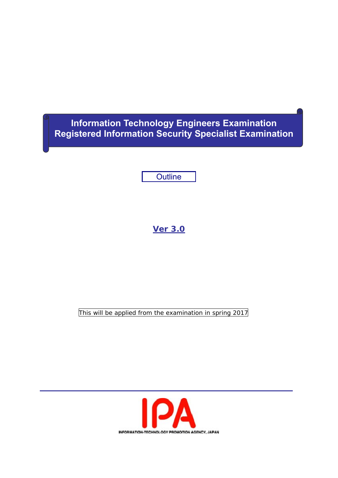# **Information Technology Engineers Examination Registered Information Security Specialist Examination**

**Outline** 

# **Ver 3.0**

This will be applied from the examination in spring 2017

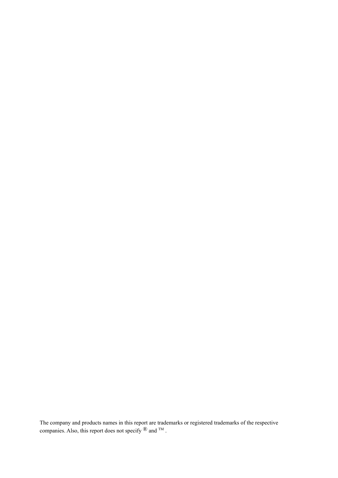The company and products names in this report are trademarks or registered trademarks of the respective companies. Also, this report does not specify  $\mathbb{R}$  and  $TM$ .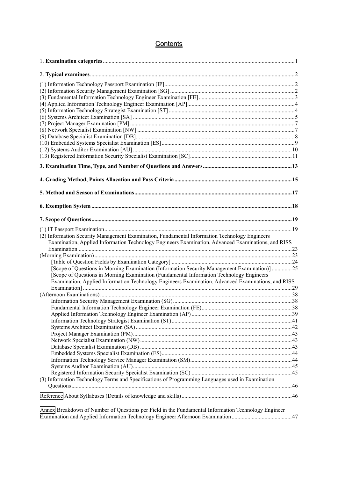# **Contents**

| (2) Information Security Management Examination, Fundamental Information Technology Engineers<br>Examination, Applied Information Technology Engineers Examination, Advanced Examinations, and RISS |  |
|-----------------------------------------------------------------------------------------------------------------------------------------------------------------------------------------------------|--|
|                                                                                                                                                                                                     |  |
|                                                                                                                                                                                                     |  |
|                                                                                                                                                                                                     |  |
| [Scope of Questions in Morning Examination (Information Security Management Examination)] 25                                                                                                        |  |
| [Scope of Questions in Morning Examination (Fundamental Information Technology Engineers                                                                                                            |  |
| Examination, Applied Information Technology Engineers Examination, Advanced Examinations, and RISS                                                                                                  |  |
|                                                                                                                                                                                                     |  |
|                                                                                                                                                                                                     |  |
|                                                                                                                                                                                                     |  |
|                                                                                                                                                                                                     |  |
|                                                                                                                                                                                                     |  |
|                                                                                                                                                                                                     |  |
|                                                                                                                                                                                                     |  |
|                                                                                                                                                                                                     |  |
|                                                                                                                                                                                                     |  |
|                                                                                                                                                                                                     |  |
|                                                                                                                                                                                                     |  |
|                                                                                                                                                                                                     |  |
|                                                                                                                                                                                                     |  |
|                                                                                                                                                                                                     |  |
| (3) Information Technology Terms and Specifications of Programming Languages used in Examination                                                                                                    |  |
|                                                                                                                                                                                                     |  |
|                                                                                                                                                                                                     |  |
| Annex Breakdown of Number of Questions per Field in the Fundamental Information Technology Engineer                                                                                                 |  |
|                                                                                                                                                                                                     |  |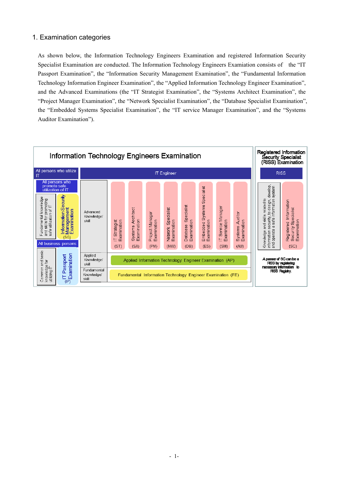### 1. Examination categories

As shown below, the Information Technology Engineers Examination and registered Information Security Specialist Examination are conducted. The Information Technology Engineers Examiation consists of the "IT Passport Examination", the "Information Security Management Examination", the "Fundamental Information Technology Information Engineer Examination", the "Applied Information Technology Engineer Examination", and the Advanced Examinations (the "IT Strategist Examination", the "Systems Architect Examination", the "Project Manager Examination", the "Network Specialist Examination", the "Database Specialist Examination", the "Embedded Systems Specialist Examination", the "IT service Manager Examination", and the "Systems Auditor Examination").

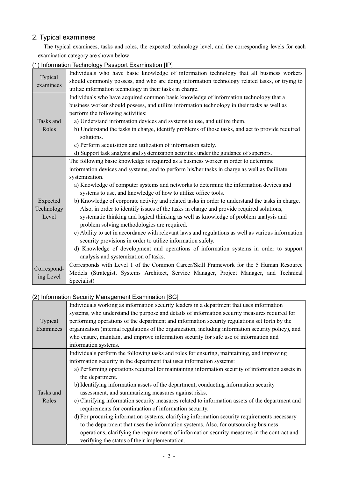### 2. Typical examinees

The typical examinees, tasks and roles, the expected technology level, and the corresponding levels for each examination category are shown below.

| Typical<br>examinees | Individuals who have basic knowledge of information technology that all business workers          |
|----------------------|---------------------------------------------------------------------------------------------------|
|                      | should commonly possess, and who are doing information technology related tasks, or trying to     |
|                      | utilize information technology in their tasks in charge.                                          |
|                      | Individuals who have acquired common basic knowledge of information technology that a             |
|                      | business worker should possess, and utilize information technology in their tasks as well as      |
|                      | perform the following activities:                                                                 |
| Tasks and            | a) Understand information devices and systems to use, and utilize them.                           |
| Roles                | b) Understand the tasks in charge, identify problems of those tasks, and act to provide required  |
|                      | solutions.                                                                                        |
|                      | c) Perform acquisition and utilization of information safely.                                     |
|                      | d) Support task analysis and systemization activities under the guidance of superiors.            |
|                      | The following basic knowledge is required as a business worker in order to determine              |
|                      | information devices and systems, and to perform his/her tasks in charge as well as facilitate     |
|                      | systemization.                                                                                    |
|                      | a) Knowledge of computer systems and networks to determine the information devices and            |
|                      | systems to use, and knowledge of how to utilize office tools.                                     |
| Expected             | b) Knowledge of corporate activity and related tasks in order to understand the tasks in charge.  |
| Technology           | Also, in order to identify issues of the tasks in charge and provide required solutions,          |
| Level                | systematic thinking and logical thinking as well as knowledge of problem analysis and             |
|                      | problem solving methodologies are required.                                                       |
|                      | c) Ability to act in accordance with relevant laws and regulations as well as various information |
|                      | security provisions in order to utilize information safely.                                       |
|                      | d) Knowledge of development and operations of information systems in order to support             |
|                      | analysis and systemization of tasks.                                                              |
|                      | Corresponds with Level 1 of the Common Career/Skill Framework for the 5 Human Resource            |
| Correspond-          | Models (Strategist, Systems Architect, Service Manager, Project Manager, and Technical            |
| ing Level            | Specialist)                                                                                       |

### (1) Information Technology Passport Examination [IP]

# (2) Information Security Management Examination [SG]

|           | Individuals working as information security leaders in a department that uses information           |
|-----------|-----------------------------------------------------------------------------------------------------|
|           | systems, who understand the purpose and details of information security measures required for       |
| Typical   | performing operations of the department and information security regulations set forth by the       |
| Examinees | organization (internal regulations of the organization, including information security policy), and |
|           | who ensure, maintain, and improve information security for safe use of information and              |
|           | information systems.                                                                                |
|           | Individuals perform the following tasks and roles for ensuring, maintaining, and improving          |
|           | information security in the department that uses information systems:                               |
|           | a) Performing operations required for maintaining information security of information assets in     |
|           | the department.                                                                                     |
|           | b) Identifying information assets of the department, conducting information security                |
| Tasks and | assessment, and summarizing measures against risks.                                                 |
| Roles     | c) Clarifying information security measures related to information assets of the department and     |
|           | requirements for continuation of information security.                                              |
|           | d) For procuring information systems, clarifying information security requirements necessary        |
|           | to the department that uses the information systems. Also, for outsourcing business                 |
|           | operations, clarifying the requirements of information security measures in the contract and        |
|           | verifying the status of their implementation.                                                       |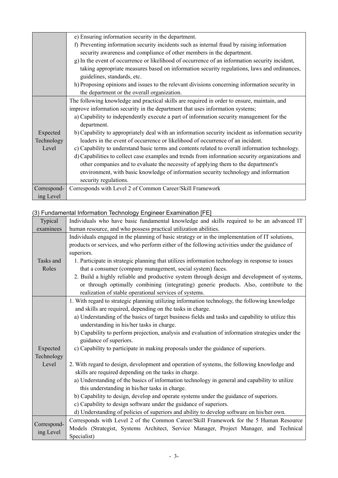|             | e) Ensuring information security in the department.                                               |
|-------------|---------------------------------------------------------------------------------------------------|
|             | f) Preventing information security incidents such as internal fraud by raising information        |
|             | security awareness and compliance of other members in the department.                             |
|             | g) In the event of occurrence or likelihood of occurrence of an information security incident,    |
|             | taking appropriate measures based on information security regulations, laws and ordinances,       |
|             | guidelines, standards, etc.                                                                       |
|             | h) Proposing opinions and issues to the relevant divisions concerning information security in     |
|             | the department or the overall organization.                                                       |
|             | The following knowledge and practical skills are required in order to ensure, maintain, and       |
|             | improve information security in the department that uses information systems;                     |
|             | a) Capability to independently execute a part of information security management for the          |
|             | department.                                                                                       |
| Expected    | b) Capability to appropriately deal with an information security incident as information security |
| Technology  | leaders in the event of occurrence or likelihood of occurrence of an incident.                    |
| Level       | c) Capability to understand basic terms and contents related to overall information technology.   |
|             | d) Capabilities to collect case examples and trends from information security organizations and   |
|             | other companies and to evaluate the necessity of applying them to the department's                |
|             | environment, with basic knowledge of information security technology and information              |
|             | security regulations.                                                                             |
| Correspond- | Corresponds with Level 2 of Common Career/Skill Framework                                         |
| ing Level   |                                                                                                   |

### (3) Fundamental Information Technology Engineer Examination [FE]

| Typical     | Individuals who have basic fundamental knowledge and skills required to be an advanced IT         |
|-------------|---------------------------------------------------------------------------------------------------|
| examinees   | human resource, and who possess practical utilization abilities.                                  |
|             | Individuals engaged in the planning of basic strategy or in the implementation of IT solutions,   |
|             | products or services, and who perform either of the following activities under the guidance of    |
|             | superiors.                                                                                        |
| Tasks and   | 1. Participate in strategic planning that utilizes information technology in response to issues   |
| Roles       | that a consumer (company management, social system) faces.                                        |
|             | 2. Build a highly reliable and productive system through design and development of systems,       |
|             | or through optimally combining (integrating) generic products. Also, contribute to the            |
|             | realization of stable operational services of systems.                                            |
|             | 1. With regard to strategic planning utilizing information technology, the following knowledge    |
|             | and skills are required, depending on the tasks in charge.                                        |
|             | a) Understanding of the basics of target business fields and tasks and capability to utilize this |
|             | understanding in his/her tasks in charge.                                                         |
|             | b) Capability to perform projection, analysis and evaluation of information strategies under the  |
|             | guidance of superiors.                                                                            |
| Expected    | c) Capability to participate in making proposals under the guidance of superiors.                 |
| Technology  |                                                                                                   |
| Level       | 2. With regard to design, development and operation of systems, the following knowledge and       |
|             | skills are required depending on the tasks in charge.                                             |
|             | a) Understanding of the basics of information technology in general and capability to utilize     |
|             | this understanding in his/her tasks in charge.                                                    |
|             | b) Capability to design, develop and operate systems under the guidance of superiors.             |
|             | c) Capability to design software under the guidance of superiors.                                 |
|             | d) Understanding of policies of superiors and ability to develop software on his/her own.         |
| Correspond- | Corresponds with Level 2 of the Common Career/Skill Framework for the 5 Human Resource            |
| ing Level   | Models (Strategist, Systems Architect, Service Manager, Project Manager, and Technical            |
|             | Specialist)                                                                                       |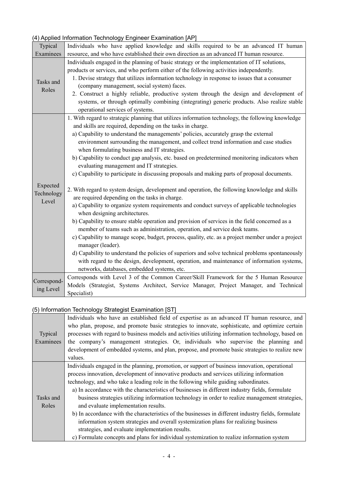|             | (4) Applied Information Technology Engineer Examination [AP]                                                                    |
|-------------|---------------------------------------------------------------------------------------------------------------------------------|
| Typical     | Individuals who have applied knowledge and skills required to be an advanced IT human                                           |
| Examinees   | resource, and who have established their own direction as an advanced IT human resource.                                        |
|             | Individuals engaged in the planning of basic strategy or the implementation of IT solutions,                                    |
|             | products or services, and who perform either of the following activities independently.                                         |
| Tasks and   | 1. Devise strategy that utilizes information technology in response to issues that a consumer                                   |
| Roles       | (company management, social system) faces.                                                                                      |
|             | 2. Construct a highly reliable, productive system through the design and development of                                         |
|             | systems, or through optimally combining (integrating) generic products. Also realize stable<br>operational services of systems. |
|             | 1. With regard to strategic planning that utilizes information technology, the following knowledge                              |
|             | and skills are required, depending on the tasks in charge.                                                                      |
|             | a) Capability to understand the managements' policies, accurately grasp the external                                            |
|             | environment surrounding the management, and collect trend information and case studies                                          |
|             | when formulating business and IT strategies.                                                                                    |
|             | b) Capability to conduct gap analysis, etc. based on predetermined monitoring indicators when                                   |
|             | evaluating management and IT strategies.                                                                                        |
|             | c) Capability to participate in discussing proposals and making parts of proposal documents.                                    |
| Expected    | 2. With regard to system design, development and operation, the following knowledge and skills                                  |
| Technology  | are required depending on the tasks in charge.                                                                                  |
| Level       | a) Capability to organize system requirements and conduct surveys of applicable technologies                                    |
|             | when designing architectures.                                                                                                   |
|             | b) Capability to ensure stable operation and provision of services in the field concerned as a                                  |
|             | member of teams such as administration, operation, and service desk teams.                                                      |
|             | c) Capability to manage scope, budget, process, quality, etc. as a project member under a project                               |
|             | manager (leader).                                                                                                               |
|             | d) Capability to understand the policies of superiors and solve technical problems spontaneously                                |
|             | with regard to the design, development, operation, and maintenance of information systems,                                      |
|             | networks, databases, embedded systems, etc.                                                                                     |
| Correspond- | Corresponds with Level 3 of the Common Career/Skill Framework for the 5 Human Resource                                          |
| ing Level   | Models (Strategist, Systems Architect, Service Manager, Project Manager, and Technical                                          |
|             | Specialist)                                                                                                                     |

### (4) Applied Information Technology Engineer Examination [AP]

# (5) Information Technology Strategist Examination [ST]

|           | Individuals who have an established field of expertise as an advanced IT human resource, and        |
|-----------|-----------------------------------------------------------------------------------------------------|
|           | who plan, propose, and promote basic strategies to innovate, sophisticate, and optimize certain     |
| Typical   | processes with regard to business models and activities utilizing information technology, based on  |
| Examinees | the company's management strategies. Or, individuals who supervise the planning and                 |
|           | development of embedded systems, and plan, propose, and promote basic strategies to realize new     |
|           | values.                                                                                             |
|           | Individuals engaged in the planning, promotion, or support of business innovation, operational      |
|           | process innovation, development of innovative products and services utilizing information           |
|           | technology, and who take a leading role in the following while guiding subordinates.                |
|           | a) In accordance with the characteristics of businesses in different industry fields, formulate     |
| Tasks and | business strategies utilizing information technology in order to realize management strategies,     |
| Roles     | and evaluate implementation results.                                                                |
|           | b) In accordance with the characteristics of the businesses in different industry fields, formulate |
|           | information system strategies and overall systemization plans for realizing business                |
|           | strategies, and evaluate implementation results.                                                    |
|           | c) Formulate concepts and plans for individual systemization to realize information system          |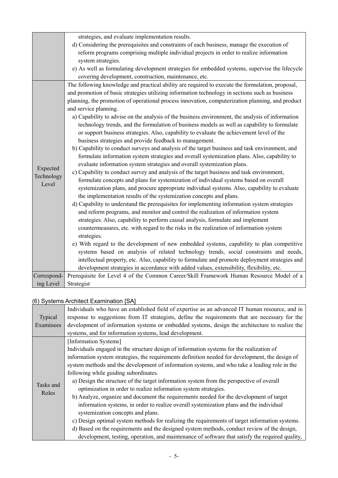|                                 | strategies, and evaluate implementation results.<br>d) Considering the prerequisites and constraints of each business, manage the execution of<br>reform programs comprising multiple individual projects in order to realize information<br>system strategies.<br>e) As well as formulating development strategies for embedded systems, supervise the lifecycle                                                                                                                                                                                                                                                                                                                                                                                                                                                                                                                                                                                                                                                                                                                                                                                                                                                                                                                                                                                                                                                                                                                                                                                                                                                                                                                                                                                                                                                                                                                                                 |
|---------------------------------|-------------------------------------------------------------------------------------------------------------------------------------------------------------------------------------------------------------------------------------------------------------------------------------------------------------------------------------------------------------------------------------------------------------------------------------------------------------------------------------------------------------------------------------------------------------------------------------------------------------------------------------------------------------------------------------------------------------------------------------------------------------------------------------------------------------------------------------------------------------------------------------------------------------------------------------------------------------------------------------------------------------------------------------------------------------------------------------------------------------------------------------------------------------------------------------------------------------------------------------------------------------------------------------------------------------------------------------------------------------------------------------------------------------------------------------------------------------------------------------------------------------------------------------------------------------------------------------------------------------------------------------------------------------------------------------------------------------------------------------------------------------------------------------------------------------------------------------------------------------------------------------------------------------------|
|                                 | covering development, construction, maintenance, etc.                                                                                                                                                                                                                                                                                                                                                                                                                                                                                                                                                                                                                                                                                                                                                                                                                                                                                                                                                                                                                                                                                                                                                                                                                                                                                                                                                                                                                                                                                                                                                                                                                                                                                                                                                                                                                                                             |
| Expected<br>Technology<br>Level | The following knowledge and practical ability are required to execute the formulation, proposal,<br>and promotion of basic strategies utilizing information technology in sections such as business<br>planning, the promotion of operational process innovation, computerization planning, and product<br>and service planning.<br>a) Capability to advise on the analysis of the business environment, the analysis of information<br>technology trends, and the formulation of business models as well as capability to formulate<br>or support business strategies. Also, capability to evaluate the achievement level of the<br>business strategies and provide feedback to management.<br>b) Capability to conduct surveys and analysis of the target business and task environment, and<br>formulate information system strategies and overall systemization plans. Also, capability to<br>evaluate information system strategies and overall systemization plans.<br>c) Capability to conduct survey and analysis of the target business and task environment,<br>formulate concepts and plans for systemization of individual systems based on overall<br>systemization plans, and procure appropriate individual systems. Also, capability to evaluate<br>the implementation results of the systemization concepts and plans.<br>d) Capability to understand the prerequisites for implementing information system strategies<br>and reform programs, and monitor and control the realization of information system<br>strategies. Also, capability to perform causal analysis, formulate and implement<br>countermeasures, etc. with regard to the risks in the realization of information system<br>strategies.<br>e) With regard to the development of new embedded systems, capability to plan competitive<br>systems based on analysis of related technology trends, social constraints and needs, |
|                                 | intellectual property, etc. Also, capability to formulate and promote deployment strategies and                                                                                                                                                                                                                                                                                                                                                                                                                                                                                                                                                                                                                                                                                                                                                                                                                                                                                                                                                                                                                                                                                                                                                                                                                                                                                                                                                                                                                                                                                                                                                                                                                                                                                                                                                                                                                   |
|                                 | development strategies in accordance with added values, extensibility, flexibility, etc.                                                                                                                                                                                                                                                                                                                                                                                                                                                                                                                                                                                                                                                                                                                                                                                                                                                                                                                                                                                                                                                                                                                                                                                                                                                                                                                                                                                                                                                                                                                                                                                                                                                                                                                                                                                                                          |
| Correspond-                     | Prerequisite for Level 4 of the Common Career/Skill Framework Human Resource Model of a                                                                                                                                                                                                                                                                                                                                                                                                                                                                                                                                                                                                                                                                                                                                                                                                                                                                                                                                                                                                                                                                                                                                                                                                                                                                                                                                                                                                                                                                                                                                                                                                                                                                                                                                                                                                                           |
| ing Level                       | Strategist                                                                                                                                                                                                                                                                                                                                                                                                                                                                                                                                                                                                                                                                                                                                                                                                                                                                                                                                                                                                                                                                                                                                                                                                                                                                                                                                                                                                                                                                                                                                                                                                                                                                                                                                                                                                                                                                                                        |

### (6) Systems Architect Examination [SA]

|           | Individuals who have an established field of expertise as an advanced IT human resource, and in  |
|-----------|--------------------------------------------------------------------------------------------------|
| Typical   | response to suggestions from IT strategists, define the requirements that are necessary for the  |
| Examinees | development of information systems or embedded systems, design the architecture to realize the   |
|           | systems, and for information systems, lead development.                                          |
|           | [Information Systems]                                                                            |
|           | Individuals engaged in the structure design of information systems for the realization of        |
|           | information system strategies, the requirements definition needed for development, the design of |
|           | system methods and the development of information systems, and who take a leading role in the    |
|           | following while guiding subordinates.                                                            |
|           | a) Design the structure of the target information system from the perspective of overall         |
| Tasks and | optimization in order to realize information system strategies.                                  |
| Roles     | b) Analyze, organize and document the requirements needed for the development of target          |
|           | information systems, in order to realize overall systemization plans and the individual          |
|           | systemization concepts and plans.                                                                |
|           | c) Design optimal system methods for realizing the requirements of target information systems.   |
|           | d) Based on the requirements and the designed system methods, conduct review of the design,      |
|           | development, testing, operation, and maintenance of software that satisfy the required quality,  |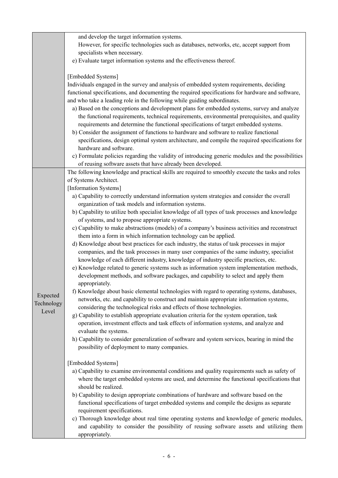| However, for specific technologies such as databases, networks, etc, accept support from                                                                                                    |
|---------------------------------------------------------------------------------------------------------------------------------------------------------------------------------------------|
|                                                                                                                                                                                             |
|                                                                                                                                                                                             |
|                                                                                                                                                                                             |
|                                                                                                                                                                                             |
| Individuals engaged in the survey and analysis of embedded system requirements, deciding                                                                                                    |
| functional specifications, and documenting the required specifications for hardware and software,                                                                                           |
|                                                                                                                                                                                             |
| a) Based on the conceptions and development plans for embedded systems, survey and analyze<br>the functional requirements, technical requirements, environmental prerequisites, and quality |
|                                                                                                                                                                                             |
| specifications, design optimal system architecture, and compile the required specifications for                                                                                             |
|                                                                                                                                                                                             |
| c) Formulate policies regarding the validity of introducing generic modules and the possibilities                                                                                           |
| The following knowledge and practical skills are required to smoothly execute the tasks and roles                                                                                           |
|                                                                                                                                                                                             |
|                                                                                                                                                                                             |
| a) Capability to correctly understand information system strategies and consider the overall                                                                                                |
|                                                                                                                                                                                             |
| b) Capability to utilize both specialist knowledge of all types of task processes and knowledge                                                                                             |
| c) Capability to make abstractions (models) of a company's business activities and reconstruct                                                                                              |
|                                                                                                                                                                                             |
| d) Knowledge about best practices for each industry, the status of task processes in major                                                                                                  |
| companies, and the task processes in many user companies of the same industry, specialist                                                                                                   |
|                                                                                                                                                                                             |
| e) Knowledge related to generic systems such as information system implementation methods,                                                                                                  |
| development methods, and software packages, and capability to select and apply them                                                                                                         |
|                                                                                                                                                                                             |
| f) Knowledge about basic elemental technologies with regard to operating systems, databases,<br>networks, etc. and capability to construct and maintain appropriate information systems,    |
|                                                                                                                                                                                             |
|                                                                                                                                                                                             |
|                                                                                                                                                                                             |
| h) Capability to consider generalization of software and system services, bearing in mind the                                                                                               |
|                                                                                                                                                                                             |
|                                                                                                                                                                                             |
| a) Capability to examine environmental conditions and quality requirements such as safety of                                                                                                |
| where the target embedded systems are used, and determine the functional specifications that                                                                                                |
|                                                                                                                                                                                             |
|                                                                                                                                                                                             |
| functional specifications of target embedded systems and compile the designs as separate                                                                                                    |
|                                                                                                                                                                                             |
| c) Thorough knowledge about real time operating systems and knowledge of generic modules,<br>and capability to consider the possibility of reusing software assets and utilizing them       |
|                                                                                                                                                                                             |
| operation, investment effects and task effects of information systems, and analyze and<br>b) Capability to design appropriate combinations of hardware and software based on the            |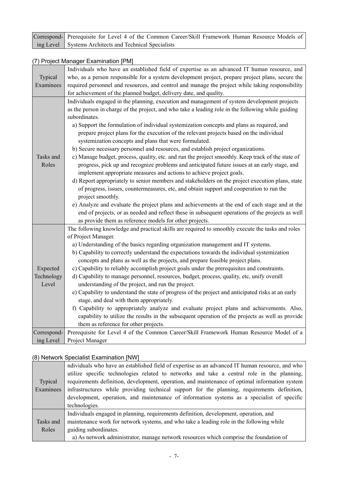| Correspond- Prerequisite for Level 4 of the Common Career/Skill Framework Human Resource Models of |
|----------------------------------------------------------------------------------------------------|
| ing Level Systems Architects and Technical Specialists                                             |

#### (7) Project Manager Examination [PM]

|                        | Individuals who have an established field of expertise as an advanced IT human resource, and                                                                                              |
|------------------------|-------------------------------------------------------------------------------------------------------------------------------------------------------------------------------------------|
| Typical                | who, as a person responsible for a system development project, prepare project plans, secure the                                                                                          |
| Examinees              | required personnel and resources, and control and manage the project while taking responsibility                                                                                          |
|                        | for achievement of the planned budget, delivery date, and quality.                                                                                                                        |
|                        | Individuals engaged in the planning, execution and management of system development projects                                                                                              |
|                        | as the person in charge of the project, and who take a leading role in the following while guiding                                                                                        |
|                        | subordinates.                                                                                                                                                                             |
|                        | a) Support the formulation of individual systemization concepts and plans as required, and                                                                                                |
|                        | prepare project plans for the execution of the relevant projects based on the individual                                                                                                  |
|                        | systemization concepts and plans that were formulated.                                                                                                                                    |
|                        | b) Secure necessary personnel and resources, and establish project organizations.                                                                                                         |
| Tasks and              | c) Manage budget, process, quality, etc. and run the project smoothly. Keep track of the state of                                                                                         |
| Roles                  | progress, pick up and recognize problems and anticipated future issues at an early stage, and                                                                                             |
|                        | implement appropriate measures and actions to achieve project goals.                                                                                                                      |
|                        | d) Report appropriately to senior members and stakeholders on the project execution plans, state                                                                                          |
|                        | of progress, issues, countermeasures, etc, and obtain support and cooperation to run the                                                                                                  |
|                        | project smoothly.                                                                                                                                                                         |
|                        | e) Analyze and evaluate the project plans and achievements at the end of each stage and at the                                                                                            |
|                        | end of projects, or as needed and reflect these in subsequent operations of the projects as well                                                                                          |
|                        | as provide them as reference models for other projects.                                                                                                                                   |
|                        | The following knowledge and practical skills are required to smoothly execute the tasks and roles                                                                                         |
|                        | of Project Manager.                                                                                                                                                                       |
|                        | a) Understanding of the basics regarding organization management and IT systems.                                                                                                          |
|                        | b) Capability to correctly understand the expectations towards the individual systemization                                                                                               |
|                        | concepts and plans as well as the projects, and prepare feasible project plans.                                                                                                           |
| Expected<br>Technology | c) Capability to reliably accomplish project goals under the prerequisites and constraints.<br>d) Capability to manage personnel, resources, budget, process, quality, etc, unify overall |
| Level                  | understanding of the project, and run the project.                                                                                                                                        |
|                        | e) Capability to understand the state of progress of the project and anticipated risks at an early                                                                                        |
|                        | stage, and deal with them appropriately.                                                                                                                                                  |
|                        | f) Capability to appropriately analyze and evaluate project plans and achievements. Also,                                                                                                 |
|                        | capability to utilize the results in the subsequent operation of the projects as well as provide                                                                                          |
|                        | them as reference for other projects.                                                                                                                                                     |
| Correspond-            | Prerequisite for Level 4 of the Common Career/Skill Framework Human Resource Model of a                                                                                                   |
| ing Level              | Project Manager                                                                                                                                                                           |
|                        |                                                                                                                                                                                           |

### (8) Network Specialist Examination [NW]

|           | ndividuals who have an established field of expertise as an advanced IT human resource, and who |  |  |  |  |  |
|-----------|-------------------------------------------------------------------------------------------------|--|--|--|--|--|
|           | utilize specific technologies related to networks and take a central role in the planning,      |  |  |  |  |  |
| Typical   | requirements definition, development, operation, and maintenance of optimal information system  |  |  |  |  |  |
| Examinees | infrastructures while providing technical support for the planning, requirements definition,    |  |  |  |  |  |
|           | development, operation, and maintenance of information systems as a specialist of specific      |  |  |  |  |  |
|           | technologies.                                                                                   |  |  |  |  |  |
|           | Individuals engaged in planning, requirements definition, development, operation, and           |  |  |  |  |  |
| Tasks and | maintenance work for network systems, and who take a leading role in the following while        |  |  |  |  |  |
| Roles     | guiding subordinates.                                                                           |  |  |  |  |  |
|           | a) As network administrator, manage network resources which comprise the foundation of          |  |  |  |  |  |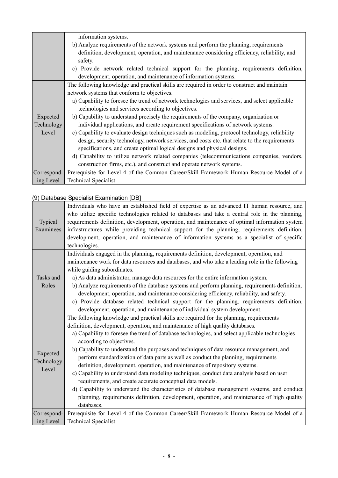|             | information systems.                                                                           |  |  |  |  |  |
|-------------|------------------------------------------------------------------------------------------------|--|--|--|--|--|
|             | b) Analyze requirements of the network systems and perform the planning, requirements          |  |  |  |  |  |
|             | definition, development, operation, and maintenance considering efficiency, reliability, and   |  |  |  |  |  |
|             | safety.                                                                                        |  |  |  |  |  |
|             | c) Provide network related technical support for the planning, requirements definition,        |  |  |  |  |  |
|             | development, operation, and maintenance of information systems.                                |  |  |  |  |  |
|             | The following knowledge and practical skills are required in order to construct and maintain   |  |  |  |  |  |
|             | network systems that conform to objectives.                                                    |  |  |  |  |  |
|             | a) Capability to foresee the trend of network technologies and services, and select applicable |  |  |  |  |  |
|             | technologies and services according to objectives.                                             |  |  |  |  |  |
| Expected    | b) Capability to understand precisely the requirements of the company, organization or         |  |  |  |  |  |
| Technology  | individual applications, and create requirement specifications of network systems.             |  |  |  |  |  |
| Level       | c) Capability to evaluate design techniques such as modeling, protocol technology, reliability |  |  |  |  |  |
|             | design, security technology, network services, and costs etc. that relate to the requirements  |  |  |  |  |  |
|             | specifications, and create optimal logical designs and physical designs.                       |  |  |  |  |  |
|             | d) Capability to utilize network related companies (telecommunications companies, vendors,     |  |  |  |  |  |
|             | construction firms, etc.), and construct and operate network systems.                          |  |  |  |  |  |
| Correspond- | Prerequisite for Level 4 of the Common Career/Skill Framework Human Resource Model of a        |  |  |  |  |  |
| ing Level   | <b>Technical Specialist</b>                                                                    |  |  |  |  |  |

# (9) Database Specialist Examination [DB]

| Typical<br>Examinees            | Individuals who have an established field of expertise as an advanced IT human resource, and<br>who utilize specific technologies related to databases and take a central role in the planning,<br>requirements definition, development, operation, and maintenance of optimal information system<br>infrastructures while providing technical support for the planning, requirements definition,<br>development, operation, and maintenance of information systems as a specialist of specific<br>technologies.                                                                                                                                                                                                                                                                                                                                                                                                                                |  |  |  |  |  |
|---------------------------------|-------------------------------------------------------------------------------------------------------------------------------------------------------------------------------------------------------------------------------------------------------------------------------------------------------------------------------------------------------------------------------------------------------------------------------------------------------------------------------------------------------------------------------------------------------------------------------------------------------------------------------------------------------------------------------------------------------------------------------------------------------------------------------------------------------------------------------------------------------------------------------------------------------------------------------------------------|--|--|--|--|--|
| Tasks and<br>Roles              | Individuals engaged in the planning, requirements definition, development, operation, and<br>maintenance work for data resources and databases, and who take a leading role in the following<br>while guiding subordinates.<br>a) As data administrator, manage data resources for the entire information system.<br>b) Analyze requirements of the database systems and perform planning, requirements definition,<br>development, operation, and maintenance considering efficiency, reliability, and safety.<br>c) Provide database related technical support for the planning, requirements definition,<br>development, operation, and maintenance of individual system development.                                                                                                                                                                                                                                                        |  |  |  |  |  |
| Expected<br>Technology<br>Level | The following knowledge and practical skills are required for the planning, requirements<br>definition, development, operation, and maintenance of high quality databases.<br>a) Capability to foresee the trend of database technologies, and select applicable technologies<br>according to objectives.<br>b) Capability to understand the purposes and techniques of data resource management, and<br>perform standardization of data parts as well as conduct the planning, requirements<br>definition, development, operation, and maintenance of repository systems.<br>c) Capability to understand data modeling techniques, conduct data analysis based on user<br>requirements, and create accurate conceptual data models.<br>d) Capability to understand the characteristics of database management systems, and conduct<br>planning, requirements definition, development, operation, and maintenance of high quality<br>databases. |  |  |  |  |  |
| Correspond-<br>ing Level        | Prerequisite for Level 4 of the Common Career/Skill Framework Human Resource Model of a<br><b>Technical Specialist</b>                                                                                                                                                                                                                                                                                                                                                                                                                                                                                                                                                                                                                                                                                                                                                                                                                          |  |  |  |  |  |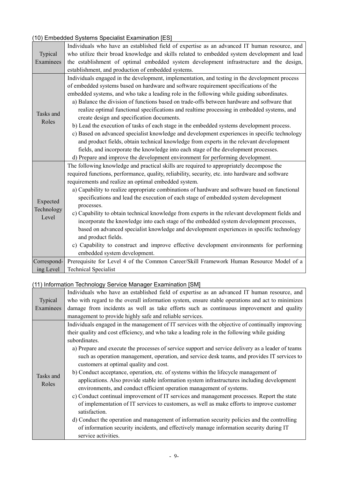# (10) Embedded Systems Specialist Examination [ES]

|             | Individuals who have an established field of expertise as an advanced IT human resource, and     |  |  |  |  |
|-------------|--------------------------------------------------------------------------------------------------|--|--|--|--|
| Typical     | who utilize their broad knowledge and skills related to embedded system development and lead     |  |  |  |  |
| Examinees   | the establishment of optimal embedded system development infrastructure and the design,          |  |  |  |  |
|             | establishment, and production of embedded systems.                                               |  |  |  |  |
|             | Individuals engaged in the development, implementation, and testing in the development process   |  |  |  |  |
|             | of embedded systems based on hardware and software requirement specifications of the             |  |  |  |  |
|             | embedded systems, and who take a leading role in the following while guiding subordinates.       |  |  |  |  |
|             | a) Balance the division of functions based on trade-offs between hardware and software that      |  |  |  |  |
| Tasks and   | realize optimal functional specifications and realtime processing in embedded systems, and       |  |  |  |  |
| Roles       | create design and specification documents.                                                       |  |  |  |  |
|             | b) Lead the execution of tasks of each stage in the embedded systems development process.        |  |  |  |  |
|             | c) Based on advanced specialist knowledge and development experiences in specific technology     |  |  |  |  |
|             | and product fields, obtain technical knowledge from experts in the relevant development          |  |  |  |  |
|             | fields, and incorporate the knowledge into each stage of the development processes.              |  |  |  |  |
|             | d) Prepare and improve the development environment for performing development.                   |  |  |  |  |
|             | The following knowledge and practical skills are required to appropriately decompose the         |  |  |  |  |
|             | required functions, performance, quality, reliability, security, etc. into hardware and software |  |  |  |  |
|             | requirements and realize an optimal embedded system.                                             |  |  |  |  |
|             | a) Capability to realize appropriate combinations of hardware and software based on functional   |  |  |  |  |
|             | specifications and lead the execution of each stage of embedded system development               |  |  |  |  |
| Expected    | processes.                                                                                       |  |  |  |  |
| Technology  | c) Capability to obtain technical knowledge from experts in the relevant development fields and  |  |  |  |  |
| Level       | incorporate the knowledge into each stage of the embedded system development processes,          |  |  |  |  |
|             | based on advanced specialist knowledge and development experiences in specific technology        |  |  |  |  |
|             | and product fields.                                                                              |  |  |  |  |
|             | c) Capability to construct and improve effective development environments for performing         |  |  |  |  |
|             | embedded system development.                                                                     |  |  |  |  |
| Correspond- | Prerequisite for Level 4 of the Common Career/Skill Framework Human Resource Model of a          |  |  |  |  |
| ing Level   | <b>Technical Specialist</b>                                                                      |  |  |  |  |

### (11) Information Technology Service Manager Examination [SM]

|           | Individuals who have an established field of expertise as an advanced IT human resource, and      |  |  |  |  |
|-----------|---------------------------------------------------------------------------------------------------|--|--|--|--|
| Typical   | who with regard to the overall information system, ensure stable operations and act to minimizes  |  |  |  |  |
| Examinees | damage from incidents as well as take efforts such as continuous improvement and quality          |  |  |  |  |
|           | management to provide highly safe and reliable services.                                          |  |  |  |  |
|           | Individuals engaged in the management of IT services with the objective of continually improving  |  |  |  |  |
|           | their quality and cost efficiency, and who take a leading role in the following while guiding     |  |  |  |  |
|           | subordinates.                                                                                     |  |  |  |  |
|           | a) Prepare and execute the processes of service support and service delivery as a leader of teams |  |  |  |  |
|           | such as operation management, operation, and service desk teams, and provides IT services to      |  |  |  |  |
|           | customers at optimal quality and cost.                                                            |  |  |  |  |
| Tasks and | b) Conduct acceptance, operation, etc. of systems within the lifecycle management of              |  |  |  |  |
| Roles     | applications. Also provide stable information system infrastructures including development        |  |  |  |  |
|           | environments, and conduct efficient operation management of systems.                              |  |  |  |  |
|           | c) Conduct continual improvement of IT services and management processes. Report the state        |  |  |  |  |
|           | of implementation of IT services to customers, as well as make efforts to improve customer        |  |  |  |  |
|           | satisfaction.                                                                                     |  |  |  |  |
|           | d) Conduct the operation and management of information security policies and the controlling      |  |  |  |  |
|           | of information security incidents, and effectively manage information security during IT          |  |  |  |  |
|           | service activities.                                                                               |  |  |  |  |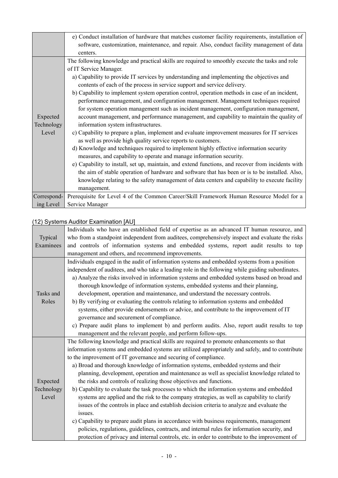|             | e) Conduct installation of hardware that matches customer facility requirements, installation of  |  |  |  |  |  |
|-------------|---------------------------------------------------------------------------------------------------|--|--|--|--|--|
|             | software, customization, maintenance, and repair. Also, conduct facility management of data       |  |  |  |  |  |
|             | centers.                                                                                          |  |  |  |  |  |
|             | The following knowledge and practical skills are required to smoothly execute the tasks and role  |  |  |  |  |  |
|             | of IT Service Manager.                                                                            |  |  |  |  |  |
|             | a) Capability to provide IT services by understanding and implementing the objectives and         |  |  |  |  |  |
|             | contents of each of the process in service support and service delivery.                          |  |  |  |  |  |
|             | b) Capability to implement system operation control, operation methods in case of an incident,    |  |  |  |  |  |
|             | performance management, and configuration management. Management techniques required              |  |  |  |  |  |
|             | for system operation management such as incident management, configuration management,            |  |  |  |  |  |
| Expected    | account management, and performance management, and capability to maintain the quality of         |  |  |  |  |  |
| Technology  | information system infrastructures.                                                               |  |  |  |  |  |
| Level       | c) Capability to prepare a plan, implement and evaluate improvement measures for IT services      |  |  |  |  |  |
|             | as well as provide high quality service reports to customers.                                     |  |  |  |  |  |
|             | d) Knowledge and techniques required to implement highly effective information security           |  |  |  |  |  |
|             | measures, and capability to operate and manage information security.                              |  |  |  |  |  |
|             | e) Capability to install, set up, maintain, and extend functions, and recover from incidents with |  |  |  |  |  |
|             | the aim of stable operation of hardware and software that has been or is to be installed. Also,   |  |  |  |  |  |
|             | knowledge relating to the safety management of data centers and capability to execute facility    |  |  |  |  |  |
|             | management.                                                                                       |  |  |  |  |  |
| Correspond- | Prerequisite for Level 4 of the Common Career/Skill Framework Human Resource Model for a          |  |  |  |  |  |
| ing Level   | Service Manager                                                                                   |  |  |  |  |  |

### (12) Systems Auditor Examination [AU]

|            | Individuals who have an established field of expertise as an advanced IT human resource, and      |  |  |  |  |  |
|------------|---------------------------------------------------------------------------------------------------|--|--|--|--|--|
| Typical    | who from a standpoint independent from auditees, comprehensively inspect and evaluate the risks   |  |  |  |  |  |
| Examinees  | and controls of information systems and embedded systems, report audit results to top             |  |  |  |  |  |
|            | management and others, and recommend improvements.                                                |  |  |  |  |  |
|            | Individuals engaged in the audit of information systems and embedded systems from a position      |  |  |  |  |  |
|            | independent of auditees, and who take a leading role in the following while guiding subordinates. |  |  |  |  |  |
|            | a) Analyze the risks involved in information systems and embedded systems based on broad and      |  |  |  |  |  |
|            | thorough knowledge of information systems, embedded systems and their planning,                   |  |  |  |  |  |
| Tasks and  | development, operation and maintenance, and understand the necessary controls.                    |  |  |  |  |  |
| Roles      | b) By verifying or evaluating the controls relating to information systems and embedded           |  |  |  |  |  |
|            | systems, either provide endorsements or advice, and contribute to the improvement of IT           |  |  |  |  |  |
|            | governance and securement of compliance.                                                          |  |  |  |  |  |
|            | c) Prepare audit plans to implement b) and perform audits. Also, report audit results to top      |  |  |  |  |  |
|            | management and the relevant people, and perform follow-ups.                                       |  |  |  |  |  |
|            | The following knowledge and practical skills are required to promote enhancements so that         |  |  |  |  |  |
|            | information systems and embedded systems are utilized appropriately and safely, and to contribute |  |  |  |  |  |
|            | to the improvement of IT governance and securing of compliance.                                   |  |  |  |  |  |
|            | a) Broad and thorough knowledge of information systems, embedded systems and their                |  |  |  |  |  |
|            | planning, development, operation and maintenance as well as specialist knowledge related to       |  |  |  |  |  |
| Expected   | the risks and controls of realizing those objectives and functions.                               |  |  |  |  |  |
| Technology | b) Capability to evaluate the task processes to which the information systems and embedded        |  |  |  |  |  |
| Level      | systems are applied and the risk to the company strategies, as well as capability to clarify      |  |  |  |  |  |
|            | issues of the controls in place and establish decision criteria to analyze and evaluate the       |  |  |  |  |  |
|            | issues.                                                                                           |  |  |  |  |  |
|            | c) Capability to prepare audit plans in accordance with business requirements, management         |  |  |  |  |  |
|            | policies, regulations, guidelines, contracts, and internal rules for information security, and    |  |  |  |  |  |
|            | protection of privacy and internal controls, etc. in order to contribute to the improvement of    |  |  |  |  |  |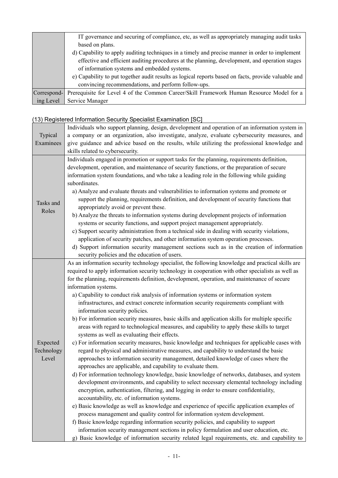|             | IT governance and securing of compliance, etc, as well as appropriately managing audit tasks        |  |  |  |
|-------------|-----------------------------------------------------------------------------------------------------|--|--|--|
|             | based on plans.                                                                                     |  |  |  |
|             | d) Capability to apply auditing techniques in a timely and precise manner in order to implement     |  |  |  |
|             | effective and efficient auditing procedures at the planning, development, and operation stages      |  |  |  |
|             | of information systems and embedded systems.                                                        |  |  |  |
|             | e) Capability to put together audit results as logical reports based on facts, provide valuable and |  |  |  |
|             | convincing recommendations, and perform follow-ups.                                                 |  |  |  |
| Correspond- | Prerequisite for Level 4 of the Common Career/Skill Framework Human Resource Model for a            |  |  |  |
| ing Level   | Service Manager                                                                                     |  |  |  |

# (13) Registered Information Security Specialist Examination [SC]

|            | Individuals who support planning, design, development and operation of an information system in    |  |  |  |  |  |  |
|------------|----------------------------------------------------------------------------------------------------|--|--|--|--|--|--|
| Typical    | a company or an organization, also investigate, analyze, evaluate cybersecurity measures, and      |  |  |  |  |  |  |
| Examinees  | give guidance and advice based on the results, while utilizing the professional knowledge and      |  |  |  |  |  |  |
|            | skills related to cybersecurity.                                                                   |  |  |  |  |  |  |
|            | Individuals engaged in promotion or support tasks for the planning, requirements definition,       |  |  |  |  |  |  |
|            | development, operation, and maintenance of security functions, or the preparation of secure        |  |  |  |  |  |  |
|            | information system foundations, and who take a leading role in the following while guiding         |  |  |  |  |  |  |
|            | subordinates.                                                                                      |  |  |  |  |  |  |
|            | a) Analyze and evaluate threats and vulnerabilities to information systems and promote or          |  |  |  |  |  |  |
| Tasks and  | support the planning, requirements definition, and development of security functions that          |  |  |  |  |  |  |
| Roles      | appropriately avoid or prevent these.                                                              |  |  |  |  |  |  |
|            | b) Analyze the threats to information systems during development projects of information           |  |  |  |  |  |  |
|            | systems or security functions, and support project management appropriately.                       |  |  |  |  |  |  |
|            | c) Support security administration from a technical side in dealing with security violations,      |  |  |  |  |  |  |
|            | application of security patches, and other information system operation processes.                 |  |  |  |  |  |  |
|            | d) Support information security management sections such as in the creation of information         |  |  |  |  |  |  |
|            | security policies and the education of users.                                                      |  |  |  |  |  |  |
|            | As an information security technology specialist, the following knowledge and practical skills are |  |  |  |  |  |  |
|            | required to apply information security technology in cooperation with other specialists as well as |  |  |  |  |  |  |
|            | for the planning, requirements definition, development, operation, and maintenance of secure       |  |  |  |  |  |  |
|            | information systems.                                                                               |  |  |  |  |  |  |
|            | a) Capability to conduct risk analysis of information systems or information system                |  |  |  |  |  |  |
|            | infrastructures, and extract concrete information security requirements compliant with             |  |  |  |  |  |  |
|            | information security policies.                                                                     |  |  |  |  |  |  |
|            | b) For information security measures, basic skills and application skills for multiple specific    |  |  |  |  |  |  |
|            | areas with regard to technological measures, and capability to apply these skills to target        |  |  |  |  |  |  |
|            | systems as well as evaluating their effects.                                                       |  |  |  |  |  |  |
| Expected   | c) For information security measures, basic knowledge and techniques for applicable cases with     |  |  |  |  |  |  |
| Technology | regard to physical and administrative measures, and capability to understand the basic             |  |  |  |  |  |  |
| Level      | approaches to information security management, detailed knowledge of cases where the               |  |  |  |  |  |  |
|            | approaches are applicable, and capability to evaluate them.                                        |  |  |  |  |  |  |
|            | d) For information technology knowledge, basic knowledge of networks, databases, and system        |  |  |  |  |  |  |
|            | development environments, and capability to select necessary elemental technology including        |  |  |  |  |  |  |
|            | encryption, authentication, filtering, and logging in order to ensure confidentiality,             |  |  |  |  |  |  |
|            | accountability, etc. of information systems.                                                       |  |  |  |  |  |  |
|            | e) Basic knowledge as well as knowledge and experience of specific application examples of         |  |  |  |  |  |  |
|            | process management and quality control for information system development.                         |  |  |  |  |  |  |
|            | f) Basic knowledge regarding information security policies, and capability to support              |  |  |  |  |  |  |
|            | information security management sections in policy formulation and user education, etc.            |  |  |  |  |  |  |
|            | g) Basic knowledge of information security related legal requirements, etc. and capability to      |  |  |  |  |  |  |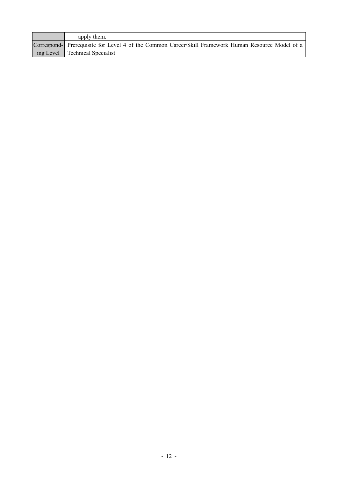| apply them.                                                                                         |
|-----------------------------------------------------------------------------------------------------|
| Correspond- Prerequisite for Level 4 of the Common Career/Skill Framework Human Resource Model of a |
| ing Level   Technical Specialist                                                                    |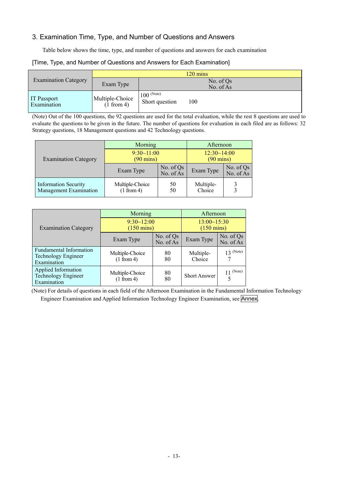### 3. Examination Time, Type, and Number of Questions and Answers

Table below shows the time, type, and number of questions and answers for each examination

#### [Time, Type, and Number of Questions and Answers for Each Examination]

|                             | $120 \text{ mins}$            |                                       |  |  |
|-----------------------------|-------------------------------|---------------------------------------|--|--|
| <b>Examination Category</b> | Exam Type                     | No. of $Qs$<br>No. of As              |  |  |
| IT Passport<br>Examination  | Multiple-Choice<br>(1 from 4) | $100$ (Note)<br>Short question<br>100 |  |  |

(Note) Out of the 100 questions, the 92 questions are used for the total evaluation, while the rest 8 questions are used to evaluate the questions to be given in the future. The number of questions for evaluation in each filed are as follows: 32 Strategy questions, 18 Management questions and 42 Technology questions.

|                                                       | Morning                           | Afternoon              |                                    |                          |
|-------------------------------------------------------|-----------------------------------|------------------------|------------------------------------|--------------------------|
| <b>Examination Category</b>                           | 9:30~11:00<br>$(90 \text{ mins})$ |                        | 12:30~14:00<br>$(90 \text{ mins})$ |                          |
|                                                       | Exam Type                         | No. of Qs<br>No. of As | Exam Type                          | No. of $Qs$<br>No. of As |
| <b>Information Security</b><br>Management Examination | Multiple-Choice<br>(1 from 4)     | 50<br>50               | Multiple-<br>Choice                |                          |

|                                                                             | Morning<br>9:30~12:00         | Afternoon<br>13:00~15:30 |                      |                        |
|-----------------------------------------------------------------------------|-------------------------------|--------------------------|----------------------|------------------------|
| <b>Examination Category</b>                                                 | $(150 \text{ mins})$          |                          | $(150 \text{ mins})$ |                        |
|                                                                             | Exam Type                     | No. of Qs<br>No. of As   | Exam Type            | No. of Qs<br>No. of As |
| <b>Fundamental Information</b><br><b>Technology Engineer</b><br>Examination | Multiple-Choice<br>(1 from 4) | 80<br>80                 | Multiple-<br>Choice  | $13^{(Note)}$          |
| Applied Information<br><b>Technology Engineer</b><br>Examination            | Multiple-Choice<br>(1 from 4) | 80<br>80                 | <b>Short Answer</b>  | (Note)<br>5            |

(Note) For details of questions in each field of the Afternoon Examination in the Fundamental Information Technology Engineer Examination and Applied Information Technology Engineer Examination, see Annex.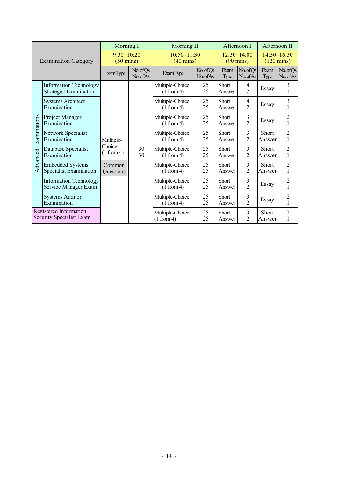|                                                           |                                                                | Morning I                         |                               | <b>Morning II</b>                  |                                    |                     | Afternoon I                         | Afternoon II                   |                                |
|-----------------------------------------------------------|----------------------------------------------------------------|-----------------------------------|-------------------------------|------------------------------------|------------------------------------|---------------------|-------------------------------------|--------------------------------|--------------------------------|
|                                                           | <b>Examination Category</b>                                    | 9:30~10:20<br>$(50 \text{ mins})$ |                               | 10:50~11:30<br>$(40 \text{ mins})$ | 12:30~14:00<br>$(90 \text{ mins})$ |                     | 14:30~16:30<br>$(120 \text{ mins})$ |                                |                                |
|                                                           |                                                                | <b>Exam Type</b>                  | No.ofQs<br>No.ofAs            | Exam Type                          | No. of Qs<br>No. of As             | Exam<br>Type        | No.ofQs<br>No. of As                | Exam<br>Type                   | No. of Qs<br>No. of As         |
|                                                           | <b>Information Technology</b><br><b>Strategist Examination</b> |                                   |                               | Multiple-Choice<br>(1 from 4)      | 25<br>25                           | Short<br>Answer     | 4<br>$\overline{2}$                 | Essay                          | 3                              |
|                                                           | <b>Systems Architect</b><br>Examination                        |                                   |                               | Multiple-Choice<br>(1 from 4)      | 25<br>25                           | Short<br>Answer     | 4<br>$\overline{2}$                 | Essay                          | $\overline{\mathbf{3}}$<br>1   |
| Advanced Examinations                                     | Project Manager<br>Examination                                 |                                   |                               | Multiple-Choice<br>(1 from 4)      | 25<br>25                           | Short<br>Answer     | 3<br>$\overline{2}$                 | Essay                          | $\overline{c}$<br>$\mathbf{1}$ |
|                                                           | Network Specialist<br>Examination                              | Multiple-                         |                               | Multiple-Choice<br>(1 from 4)      | 25<br>25                           | Short<br>Answer     | 3<br>$\overline{2}$                 | Short<br>Answer                | $\overline{2}$<br>1            |
|                                                           | Database Specialist<br>Examination                             | Choice<br>(1 from 4)              | 30<br>30                      | Multiple-Choice<br>(1 from 4)      | 25<br>25                           | Short<br>Answer     | 3<br>$\overline{2}$                 | Short<br>Answer                | $\overline{2}$<br>1            |
|                                                           | <b>Embedded Systems</b><br><b>Specialist Examination</b>       | Common<br>Questions               |                               | Multiple-Choice<br>(1 from 4)      | 25<br>25                           | Short<br>Answer     | 3<br>$\overline{2}$                 | <b>Short</b><br>Answer         | $\overline{2}$<br>$\mathbf{1}$ |
|                                                           | <b>Information Technology</b><br>Service Manager Exam          |                                   |                               | Multiple-Choice<br>(1 from 4)      | 25<br>25                           | Short<br>Answer     | 3<br>$\overline{2}$                 | Essay                          | $\overline{c}$<br>$\mathbf{1}$ |
|                                                           | <b>Systems Auditor</b><br>Examination                          |                                   | Multiple-Choice<br>(1 from 4) | 25<br>25                           | Short<br>Answer                    | 3<br>$\overline{2}$ | Essay                               | $\overline{2}$<br>$\mathbf{1}$ |                                |
| Registered Information<br><b>Security Specialist Exam</b> |                                                                |                                   |                               | Multiple-Choice<br>(1 from 4)      | 25<br>25                           | Short<br>Answer     | 3<br>$\overline{2}$                 | Short<br>Answer                | $\overline{2}$<br>$\mathbf{1}$ |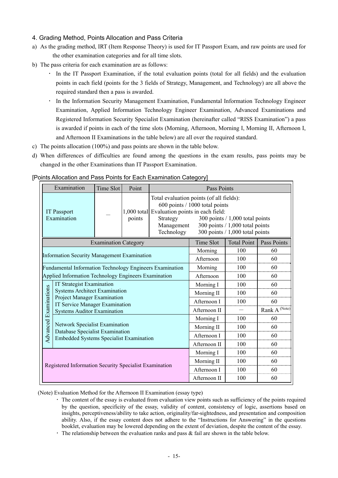### 4. Grading Method, Points Allocation and Pass Criteria

- a) As the grading method, IRT (Item Response Theory) is used for IT Passport Exam, and raw points are used for the other examination categories and for all time slots.
- b) The pass criteria for each examination are as follows:
	- In the IT Passport Examination, if the total evaluation points (total for all fields) and the evaluation points in each field (points for the 3 fields of Strategy, Management, and Technology) are all above the required standard then a pass is awarded.
	- In the Information Security Management Examination, Fundamental Information Technology Engineer Examination, Applied Information Technology Engineer Examination, Advanced Examinations and Registered Information Security Specialist Examination (hereinafter called "RISS Examination") a pass is awarded if points in each of the time slots (Morning, Afternoon, Morning I, Morning II, Afternoon I, and Afternoon II Examinations in the table below) are all over the required standard.
- c) The points allocation (100%) and pass points are shown in the table below.
- d) When differences of difficulties are found among the questions in the exam results, pass points may be changed in the other Examinations than IT Passport Examination.

| Examination<br>Point<br>Time Slot |                                                                                   |                             |        |                                                                                      | <b>Pass Points</b>                                                                                                                                                                        |                    |               |  |
|-----------------------------------|-----------------------------------------------------------------------------------|-----------------------------|--------|--------------------------------------------------------------------------------------|-------------------------------------------------------------------------------------------------------------------------------------------------------------------------------------------|--------------------|---------------|--|
| <b>IT Passport</b><br>Examination |                                                                                   |                             | points | 1,000 total Evaluation points in each field:<br>Strategy<br>Management<br>Technology | Total evaluation points (of all fields):<br>600 points / 1000 total points<br>300 points $/ 1,000$ total points<br>300 points $/ 1,000$ total points<br>300 points $/ 1,000$ total points |                    |               |  |
|                                   |                                                                                   | <b>Examination Category</b> |        |                                                                                      | Time Slot                                                                                                                                                                                 | <b>Total Point</b> | Pass Points   |  |
|                                   |                                                                                   |                             |        |                                                                                      | Morning                                                                                                                                                                                   | 100                | 60            |  |
|                                   | <b>Information Security Management Examination</b>                                |                             |        |                                                                                      | Afternoon                                                                                                                                                                                 | 100                | 60            |  |
|                                   | Fundamental Information Technology Engineers Examination                          |                             |        |                                                                                      | Morning                                                                                                                                                                                   | 100                | 60            |  |
|                                   | Applied Information Technology Engineers Examination                              |                             |        |                                                                                      | Afternoon                                                                                                                                                                                 | 100                | 60            |  |
|                                   | <b>IT Strategist Examination</b>                                                  |                             |        |                                                                                      | Morning I                                                                                                                                                                                 | 100                | 60            |  |
|                                   | <b>Systems Architect Examination</b>                                              |                             |        |                                                                                      | Morning II                                                                                                                                                                                | 100                | 60            |  |
|                                   | Project Manager Examination<br>IT Service Manager Examination                     |                             |        |                                                                                      | Afternoon I                                                                                                                                                                               | 100                | 60            |  |
| <b>Advanced Examinations</b>      | <b>Systems Auditor Examination</b>                                                |                             |        |                                                                                      | Afternoon II                                                                                                                                                                              |                    | Rank A (Note) |  |
|                                   |                                                                                   |                             |        |                                                                                      | Morning I                                                                                                                                                                                 | 100                | 60            |  |
|                                   | <b>Network Specialist Examination</b>                                             |                             |        |                                                                                      | Morning II                                                                                                                                                                                | 100                | 60            |  |
|                                   | Database Specialist Examination<br><b>Embedded Systems Specialist Examination</b> |                             |        |                                                                                      | Afternoon I                                                                                                                                                                               | 100                | 60            |  |
|                                   |                                                                                   |                             |        |                                                                                      | Afternoon II                                                                                                                                                                              | 100                | 60            |  |
|                                   |                                                                                   |                             |        |                                                                                      | Morning I                                                                                                                                                                                 | 100                | 60            |  |
|                                   |                                                                                   |                             |        |                                                                                      | Morning II                                                                                                                                                                                | 100                | 60            |  |
|                                   | Registered Information Security Specialist Examination                            |                             |        |                                                                                      | Afternoon I                                                                                                                                                                               | 100                | 60            |  |
|                                   |                                                                                   |                             |        |                                                                                      | Afternoon II                                                                                                                                                                              | 100                | 60            |  |

#### [Points Allocation and Pass Points for Each Examination Category]

(Note) Evaluation Method for the Afternoon II Examination (essay type)

- ・ The content of the essay is evaluated from evaluation view points such as sufficiency of the points required by the question, specificity of the essay, validity of content, consistency of logic, assertions based on insights, perceptiveness/ability to take action, originality/far-sightedness, and presentation and composition ability. Also, if the essay content does not adhere to the "Instructions for Answering" in the questions booklet, evaluation may be lowered depending on the extent of deviation, despite the content of the essay.
- The relationship between the evaluation ranks and pass  $\&$  fail are shown in the table below.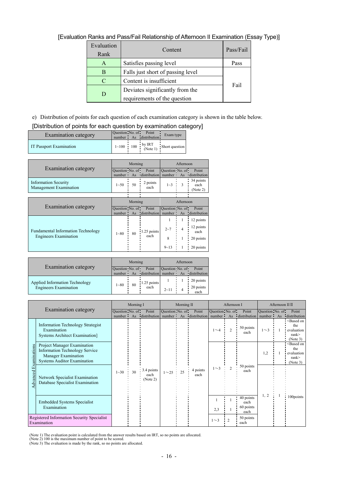# [Evaluation Ranks and Pass/Fail Relationship of Afternoon II Examination (Essay Type)]

| Evaluation<br>Rank | Content                           | Pass/Fail |
|--------------------|-----------------------------------|-----------|
| A                  | Satisfies passing level           | Pass      |
| В                  | Falls just short of passing level |           |
| C                  | Content is insufficient           |           |
|                    | Deviates significantly from the   | Fail      |
| D                  | requirements of the question      |           |

### e) Distribution of points for each question of each examination category is shown in the table below. [Distribution of points for each question by examination category]

| [Distribution of points for each question by examination category |  |  |
|-------------------------------------------------------------------|--|--|
|                                                                   |  |  |

| <b>Examination category</b> | Question No. of Point | number As distribution | Exam type                                              |
|-----------------------------|-----------------------|------------------------|--------------------------------------------------------|
| IT Passport Examination     |                       |                        | $1 \sim 100$ 100 $\frac{1}{2}$ by IRT Short question 1 |
|                             |                       |                        |                                                        |
|                             |                       |                        |                                                        |

|                                                       |                             | Morning<br>Afternoon |                       |                             |                |                               |  |  |
|-------------------------------------------------------|-----------------------------|----------------------|-----------------------|-----------------------------|----------------|-------------------------------|--|--|
| Examination category                                  | Question No. of<br>number • | As                   | Point<br>distribution | Question No. of<br>number · | As             | Point<br>distribution         |  |  |
| <b>Information Security</b><br>Management Examination | $1 - 50$                    | 50                   | 2 points<br>each      | $1 - 3$                     | 3              | 34 points<br>each<br>(Note 2) |  |  |
|                                                       |                             |                      |                       |                             |                |                               |  |  |
|                                                       |                             | Morning              |                       |                             | Afternoon      |                               |  |  |
|                                                       |                             |                      |                       |                             |                |                               |  |  |
| <b>Examination category</b>                           | Question No. of<br>number:  | As                   | Point<br>distribution | Question No. of<br>number:  | As             | Point<br>distribution         |  |  |
|                                                       |                             |                      |                       |                             | 1              | 12 points                     |  |  |
| <b>Fundamental Information Technology</b>             | $1 - 80$                    | 80                   | 1.25 points           | $2 - 7$                     | $\overline{4}$ | 12 points<br>each             |  |  |
| <b>Engineers Examination</b>                          |                             |                      | each                  | 8                           | 1              | 20 points                     |  |  |

|                                       |                 | Morning |                        | Afternoon       |  |                   |  |
|---------------------------------------|-----------------|---------|------------------------|-----------------|--|-------------------|--|
| <b>Examination category</b>           | Question No. of |         | Point                  | Question No. of |  | Point             |  |
|                                       | number:         |         | As distribution number |                 |  | As distribution   |  |
| <b>Applied Information Technology</b> |                 |         |                        |                 |  | 20 points         |  |
| <b>Engineers Examination</b>          | $1 - 80$        | 80      | 1.25 points<br>each    | $2 - 11$        |  | 20 points<br>each |  |

|                                                           |                                                                                                                                          |                              | Morning I |                                |                 | Morning II |                                 |                              | Afternoon I    |                                        |                              |  | Afternoon II II                                                                   |  |  |
|-----------------------------------------------------------|------------------------------------------------------------------------------------------------------------------------------------------|------------------------------|-----------|--------------------------------|-----------------|------------|---------------------------------|------------------------------|----------------|----------------------------------------|------------------------------|--|-----------------------------------------------------------------------------------|--|--|
|                                                           | Examination category                                                                                                                     | Question No. of<br>number As |           | Point<br>distribution          | Question No. of |            | Point<br>number As distribution | Question No. of<br>number As |                | Point<br>distribution                  | Question No. of<br>number As |  | Point<br>distribution                                                             |  |  |
|                                                           | <b>Information Technology Strategist</b><br>Examination<br><b>Systems Architect Examination</b> ]                                        |                              |           |                                |                 |            |                                 | $1\sim4$                     | $\overline{2}$ | 50 points<br>each                      | $1\sim$ 3                    |  | <based on<br="">the<br/>evaluation<br/>rank<br/>(Note 3)</based>                  |  |  |
| xaminations                                               | <b>Project Manager Examination</b><br><b>Information Technology Service</b><br>Manager Examination<br><b>Systems Auditor Examination</b> |                              |           |                                |                 |            |                                 |                              |                |                                        | 1,2                          |  | <based on<br="">the<br/>evaluation<br/><math>rank</math>&gt;<br/>(Note 3)</based> |  |  |
| dvanced                                                   | Network Specialist Examination<br>Database Specialist Examination                                                                        | $1 - 30$                     | 30        | 3.4 points<br>each<br>(Note 2) | $1^{\sim}25$    |            | 4 points<br>each                | $1\sim$ 3                    | h              | 50 points<br>each                      |                              |  |                                                                                   |  |  |
|                                                           | <b>Embedded Systems Specialist</b><br>Examination                                                                                        |                              |           |                                |                 |            |                                 | 2,3                          |                | 40 points<br>each<br>60 points<br>each | 1, 2                         |  | 100points                                                                         |  |  |
| Registered Information Security Specialist<br>Examination |                                                                                                                                          |                              |           |                                |                 |            |                                 | $1\sim3$                     | $\mathcal{L}$  | 50 points<br>each                      |                              |  |                                                                                   |  |  |

(Note 1) The evaluation point is calculated from the answer results based on IRT, so no points are allocated.<br>(Note 2) 100 is the maximum number of point to be scored.<br>(Note 3) The evaluation is made by the rank, so no poi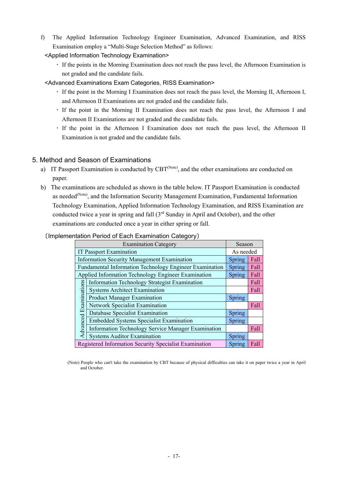f) The Applied Information Technology Engineer Examination, Advanced Examination, and RISS Examination employ a "Multi-Stage Selection Method" as follows:

<Applied Information Technology Examination>

- ・ If the points in the Morning Examination does not reach the pass level, the Afternoon Examination is not graded and the candidate fails.
- <Advanced Examinations Exam Categories, RISS Examination>
	- ・ If the point in the Morning I Examination does not reach the pass level, the Morning II, Afternoon I, and Afternoon II Examinations are not graded and the candidate fails.
	- ・ If the point in the Morning II Examination does not reach the pass level, the Afternoon I and Afternoon II Examinations are not graded and the candidate fails.
	- ・ If the point in the Afternoon I Examination does not reach the pass level, the Afternoon II Examination is not graded and the candidate fails.

### 5. Method and Season of Examinations

- a) IT Passport Examination is conducted by CBT<sup>(Note)</sup>, and the other examinations are conducted on paper.
- b) The examinations are scheduled as shown in the table below. IT Passport Examination is conducted as needed<sup>(Note)</sup>, and the Information Security Management Examination, Fundamental Information Technology Examination, Applied Information Technology Examination, and RISS Examination are conducted twice a year in spring and fall (3rd Sunday in April and October), and the other examinations are conducted once a year in either spring or fall.

#### 〔Implementation Period of Each Examination Category〕

|                                                                      | Season                                                  |        |      |  |  |  |  |
|----------------------------------------------------------------------|---------------------------------------------------------|--------|------|--|--|--|--|
| <b>IT Passport Examination</b><br>As needed                          |                                                         |        |      |  |  |  |  |
| <b>Information Security Management Examination</b><br>Fall<br>Spring |                                                         |        |      |  |  |  |  |
|                                                                      | Fundamental Information Technology Engineer Examination | Spring | Fall |  |  |  |  |
|                                                                      | Applied Information Technology Engineer Examination     | Spring | Fall |  |  |  |  |
|                                                                      | Information Technology Strategist Examination           |        | Fall |  |  |  |  |
|                                                                      | <b>Systems Architect Examination</b>                    |        | Fall |  |  |  |  |
|                                                                      | <b>Product Manager Examination</b>                      | Spring |      |  |  |  |  |
| <b>Advanced Examinations</b>                                         | <b>Network Specialist Examination</b>                   |        | Fall |  |  |  |  |
|                                                                      | Database Specialist Examination                         | Spring |      |  |  |  |  |
|                                                                      | <b>Embedded Systems Specialist Examination</b>          | Spring |      |  |  |  |  |
|                                                                      | Information Technology Service Manager Examination      |        | Fall |  |  |  |  |
|                                                                      | <b>Systems Auditor Examination</b>                      | Spring |      |  |  |  |  |
|                                                                      | Registered Information Security Specialist Examination  | Spring | Fall |  |  |  |  |

(Note) People who can't take the examination by CBT because of physical difficulties can take it on paper twice a year in April and October.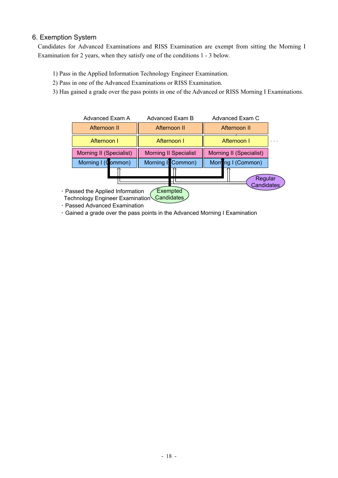### 6. Exemption System

Candidates for Advanced Examinations and RISS Examination are exempt from sitting the Morning I Examination for 2 years, when they satisfy one of the conditions 1 - 3 below.

- 1) Pass in the Applied Information Technology Engineer Examination.
- 2) Pass in one of the Advanced Examinations or RISS Examination.
- 3) Has gained a grade over the pass points in one of the Advanced or RISS Morning I Examinations.



- ・ Passed Advanced Examination
- ・ Gained a grade over the pass points in the Advanced Morning I Examination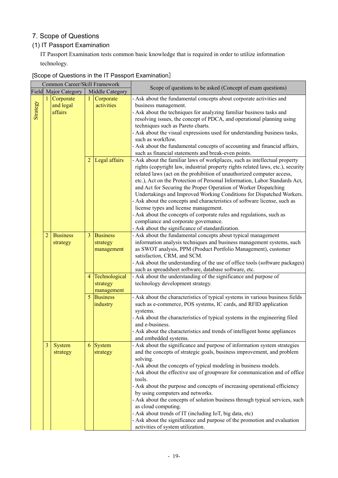# 7. Scope of Questions

### (1) IT Passport Examination

IT Passport Examination tests common basic knowledge that is required in order to utilize information technology.

|          |                | Common Career/Skill Framework       |                                  |                                           |                                                                                                                                                                                                                                                                                                                                                                                                                                                                                                                                                                                                                                                                                                                                                                                                                                                                                                                                                                                                                                                                                                                  |
|----------|----------------|-------------------------------------|----------------------------------|-------------------------------------------|------------------------------------------------------------------------------------------------------------------------------------------------------------------------------------------------------------------------------------------------------------------------------------------------------------------------------------------------------------------------------------------------------------------------------------------------------------------------------------------------------------------------------------------------------------------------------------------------------------------------------------------------------------------------------------------------------------------------------------------------------------------------------------------------------------------------------------------------------------------------------------------------------------------------------------------------------------------------------------------------------------------------------------------------------------------------------------------------------------------|
|          |                | Field Major Category                |                                  | Middle Category                           | Scope of questions to be asked (Concept of exam questions)                                                                                                                                                                                                                                                                                                                                                                                                                                                                                                                                                                                                                                                                                                                                                                                                                                                                                                                                                                                                                                                       |
| Strategy |                | 1 Corporate<br>and legal<br>affairs | 1 <sup>1</sup><br>2 <sub>1</sub> | Corporate<br>activities<br>Legal affairs  | - Ask about the fundamental concepts about corporate activities and<br>business management.<br>- Ask about the techniques for analyzing familiar business tasks and<br>resolving issues, the concept of PDCA, and operational planning using<br>techniques such as Pareto charts.<br>- Ask about the visual expressions used for understanding business tasks,<br>such as workflow.<br>- Ask about the fundamental concepts of accounting and financial affairs,<br>such as financial statements and break-even points.<br>- Ask about the familiar laws of workplaces, such as intellectual property<br>rights (copyright law, industrial property rights related laws, etc.), security<br>related laws (act on the prohibition of unauthorized computer access,<br>etc.), Act on the Protection of Personal Information, Labor Standards Act,<br>and Act for Securing the Proper Operation of Worker Dispatching<br>Undertakings and Improved Working Conditions for Dispatched Workers.<br>- Ask about the concepts and characteristics of software license, such as<br>license types and license management. |
|          |                |                                     |                                  |                                           | - Ask about the concepts of corporate rules and regulations, such as<br>compliance and corporate governance.                                                                                                                                                                                                                                                                                                                                                                                                                                                                                                                                                                                                                                                                                                                                                                                                                                                                                                                                                                                                     |
|          |                |                                     |                                  |                                           | - Ask about the significance of standardization.                                                                                                                                                                                                                                                                                                                                                                                                                                                                                                                                                                                                                                                                                                                                                                                                                                                                                                                                                                                                                                                                 |
|          | $\overline{2}$ | <b>Business</b><br>strategy         |                                  | 3 Business<br>strategy<br>management      | - Ask about the fundamental concepts about typical management<br>information analysis techniques and business management systems, such<br>as SWOT analysis, PPM (Product Portfolio Management), customer<br>satisfaction, CRM, and SCM.<br>- Ask about the understanding of the use of office tools (software packages)<br>such as spreadsheet software, database software, etc.                                                                                                                                                                                                                                                                                                                                                                                                                                                                                                                                                                                                                                                                                                                                 |
|          |                |                                     |                                  | 4 Technological<br>strategy<br>management | - Ask about the understanding of the significance and purpose of<br>technology development strategy.                                                                                                                                                                                                                                                                                                                                                                                                                                                                                                                                                                                                                                                                                                                                                                                                                                                                                                                                                                                                             |
|          |                |                                     |                                  | 5 Business<br>industry                    | - Ask about the characteristics of typical systems in various business fields<br>such as e-commerce, POS systems, IC cards, and RFID application<br>systems.<br>- Ask about the characteristics of typical systems in the engineering filed<br>and e-business.<br>- Ask about the characteristics and trends of intelligent home appliances<br>and embedded systems.                                                                                                                                                                                                                                                                                                                                                                                                                                                                                                                                                                                                                                                                                                                                             |
|          | $\overline{3}$ | System<br>strategy                  |                                  | 6 System<br>strategy                      | - Ask about the significance and purpose of information system strategies<br>and the concepts of strategic goals, business improvement, and problem<br>solving.<br>- Ask about the concepts of typical modeling in business models.<br>- Ask about the effective use of groupware for communication and of office<br>tools.<br>- Ask about the purpose and concepts of increasing operational efficiency<br>by using computers and networks.<br>- Ask about the concepts of solution business through typical services, such<br>as cloud computing.<br>- Ask about trends of IT (including IoT, big data, etc)<br>- Ask about the significance and purpose of the promotion and evaluation<br>activities of system utilization.                                                                                                                                                                                                                                                                                                                                                                                  |

### [Scope of Questions in the IT Passport Examination]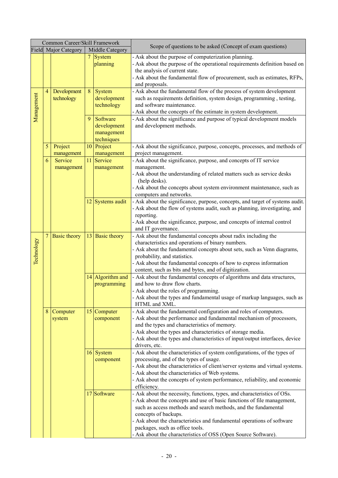|            |                | Common Career/Skill Framework |   |                                                     |                                                                                                                                                                                                                                                                                                                                                                                                                              |
|------------|----------------|-------------------------------|---|-----------------------------------------------------|------------------------------------------------------------------------------------------------------------------------------------------------------------------------------------------------------------------------------------------------------------------------------------------------------------------------------------------------------------------------------------------------------------------------------|
|            |                | Field Major Category          |   | Middle Category                                     | Scope of questions to be asked (Concept of exam questions)                                                                                                                                                                                                                                                                                                                                                                   |
|            |                |                               |   | 7 System<br>planning                                | - Ask about the purpose of computerization planning.<br>- Ask about the purpose of the operational requirements definition based on<br>the analysis of current state.<br>- Ask about the fundamental flow of procurement, such as estimates, RFPs,                                                                                                                                                                           |
|            |                |                               |   |                                                     | and proposals.                                                                                                                                                                                                                                                                                                                                                                                                               |
| Management | $\overline{4}$ | Development<br>technology     | 8 | System<br>development<br>technology                 | - Ask about the fundamental flow of the process of system development<br>such as requirements definition, system design, programming, testing,<br>and software maintenance.<br>- Ask about the concepts of the estimate in system development.                                                                                                                                                                               |
|            |                |                               | 9 | Software<br>development<br>management<br>techniques | - Ask about the significance and purpose of typical development models<br>and development methods.                                                                                                                                                                                                                                                                                                                           |
|            | 5              | Project<br>management         |   | 10 Project<br>management                            | - Ask about the significance, purpose, concepts, processes, and methods of<br>project management.                                                                                                                                                                                                                                                                                                                            |
|            | 6              | Service<br>management         |   | 11 Service<br>management                            | - Ask about the significance, purpose, and concepts of IT service<br>management.<br>- Ask about the understanding of related matters such as service desks<br>(help desks).<br>- Ask about the concepts about system environment maintenance, such as<br>computers and networks.                                                                                                                                             |
|            |                |                               |   | 12 Systems audit                                    | - Ask about the significance, purpose, concepts, and target of systems audit.<br>- Ask about the flow of systems audit, such as planning, investigating, and<br>reporting.<br>- Ask about the significance, purpose, and concepts of internal control<br>and IT governance.                                                                                                                                                  |
| Technology | $\overline{7}$ | <b>Basic theory</b>           |   | 13 Basic theory                                     | - Ask about the fundamental concepts about radix including the<br>characteristics and operations of binary numbers.<br>- Ask about the fundamental concepts about sets, such as Venn diagrams,<br>probability, and statistics.<br>- Ask about the fundamental concepts of how to express information<br>content, such as bits and bytes, and of digitization.                                                                |
|            |                |                               |   | 14 Algorithm and<br>programming                     | - Ask about the fundamental concepts of algorithms and data structures,<br>and how to draw flow charts.<br>- Ask about the roles of programming.<br>- Ask about the types and fundamental usage of markup languages, such as<br>HTML and XML.                                                                                                                                                                                |
|            | 8              | Computer<br>system            |   | $15$ Computer<br>component                          | - Ask about the fundamental configuration and roles of computers.<br>- Ask about the performance and fundamental mechanism of processors,<br>and the types and characteristics of memory.<br>- Ask about the types and characteristics of storage media.<br>- Ask about the types and characteristics of input/output interfaces, device<br>drivers, etc.                                                                    |
|            |                |                               |   | 16 System<br>component                              | - Ask about the characteristics of system configurations, of the types of<br>processing, and of the types of usage.<br>- Ask about the characteristics of client/server systems and virtual systems.<br>- Ask about the characteristics of Web systems.<br>- Ask about the concepts of system performance, reliability, and economic<br>efficiency.                                                                          |
|            |                |                               |   | 17 Software                                         | - Ask about the necessity, functions, types, and characteristics of OSs.<br>- Ask about the concepts and use of basic functions of file management,<br>such as access methods and search methods, and the fundamental<br>concepts of backups.<br>- Ask about the characteristics and fundamental operations of software<br>packages, such as office tools.<br>- Ask about the characteristics of OSS (Open Source Software). |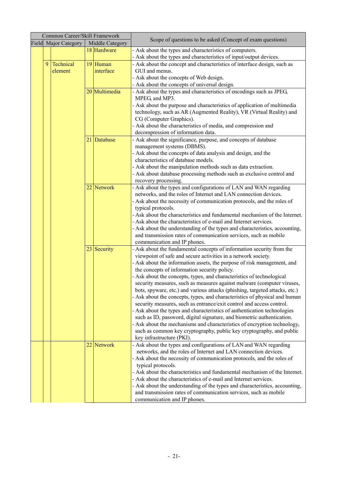|   | Common Career/Skill Framework |                 |                                                                                                                                                           |
|---|-------------------------------|-----------------|-----------------------------------------------------------------------------------------------------------------------------------------------------------|
|   | Field Major Category          | Middle Category | Scope of questions to be asked (Concept of exam questions)                                                                                                |
|   |                               | 18 Hardware     | - Ask about the types and characteristics of computers.                                                                                                   |
|   |                               |                 | - Ask about the types and characteristics of input/output devices.                                                                                        |
| 9 | Technical                     | 19 Human        | - Ask about the concept and characteristics of interface design, such as                                                                                  |
|   | element                       | interface       | GUI and menus.                                                                                                                                            |
|   |                               |                 | - Ask about the concepts of Web design.                                                                                                                   |
|   |                               |                 | - Ask about the concepts of universal design.                                                                                                             |
|   |                               | 20 Multimedia   | - Ask about the types and characteristics of encodings such as JPEG,                                                                                      |
|   |                               |                 | MPEG, and MP3.                                                                                                                                            |
|   |                               |                 | - Ask about the purpose and characteristics of application of multimedia                                                                                  |
|   |                               |                 | technology, such as AR (Augmented Reality), VR (Virtual Reality) and                                                                                      |
|   |                               |                 | CG (Computer Graphics).                                                                                                                                   |
|   |                               |                 | - Ask about the characteristics of media, and compression and                                                                                             |
|   |                               |                 | decompression of information data.                                                                                                                        |
|   |                               | 21 Database     | - Ask about the significance, purpose, and concepts of database                                                                                           |
|   |                               |                 | management systems (DBMS).                                                                                                                                |
|   |                               |                 | - Ask about the concepts of data analysis and design, and the                                                                                             |
|   |                               |                 | characteristics of database models.                                                                                                                       |
|   |                               |                 | - Ask about the manipulation methods such as data extraction.                                                                                             |
|   |                               |                 | - Ask about database processing methods such as exclusive control and                                                                                     |
|   |                               |                 | recovery processing.                                                                                                                                      |
|   |                               | 22 Network      | - Ask about the types and configurations of LAN and WAN regarding                                                                                         |
|   |                               |                 | networks, and the roles of Internet and LAN connection devices.                                                                                           |
|   |                               |                 | - Ask about the necessity of communication protocols, and the roles of                                                                                    |
|   |                               |                 | typical protocols.                                                                                                                                        |
|   |                               |                 | - Ask about the characteristics and fundamental mechanism of the Internet.                                                                                |
|   |                               |                 | - Ask about the characteristics of e-mail and Internet services.                                                                                          |
|   |                               |                 | - Ask about the understanding of the types and characteristics, accounting,                                                                               |
|   |                               |                 | and transmission rates of communication services, such as mobile                                                                                          |
|   |                               |                 | communication and IP phones.                                                                                                                              |
|   |                               | $23$ Security   | - Ask about the fundamental concepts of information security from the                                                                                     |
|   |                               |                 | viewpoint of safe and secure activities in a network society.                                                                                             |
|   |                               |                 | - Ask about the information assets, the purpose of risk management, and                                                                                   |
|   |                               |                 | the concepts of information security policy.                                                                                                              |
|   |                               |                 | - Ask about the concepts, types, and characteristics of technological<br>security measures, such as measures against malware (computer viruses,           |
|   |                               |                 |                                                                                                                                                           |
|   |                               |                 | bots, spyware, etc.) and various attacks (phishing, targeted attacks, etc.)<br>- Ask about the concepts, types, and characteristics of physical and human |
|   |                               |                 | security measures, such as entrance/exit control and access control.                                                                                      |
|   |                               |                 | - Ask about the types and characteristics of authentication technologies                                                                                  |
|   |                               |                 | such as ID, password, digital signature, and biometric authentication.                                                                                    |
|   |                               |                 | - Ask about the mechanisms and characteristics of encryption technology,                                                                                  |
|   |                               |                 | such as common key cryptography, public key cryptography, and public                                                                                      |
|   |                               |                 | key infrastructure (PKI).                                                                                                                                 |
|   |                               | 22 Network      | - Ask about the types and configurations of LAN and WAN regarding                                                                                         |
|   |                               |                 | networks, and the roles of Internet and LAN connection devices.                                                                                           |
|   |                               |                 | - Ask about the necessity of communication protocols, and the roles of                                                                                    |
|   |                               |                 | typical protocols.                                                                                                                                        |
|   |                               |                 | - Ask about the characteristics and fundamental mechanism of the Internet.                                                                                |
|   |                               |                 | - Ask about the characteristics of e-mail and Internet services.                                                                                          |
|   |                               |                 | - Ask about the understanding of the types and characteristics, accounting,                                                                               |
|   |                               |                 | and transmission rates of communication services, such as mobile                                                                                          |
|   |                               |                 | communication and IP phones.                                                                                                                              |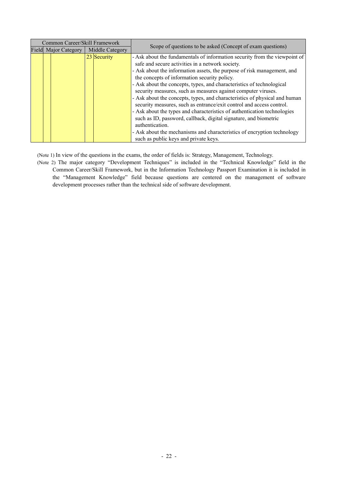| Common Career/Skill Framework |                        |                                                                            |
|-------------------------------|------------------------|----------------------------------------------------------------------------|
| Field Major Category          | <b>Middle Category</b> | Scope of questions to be asked (Concept of exam questions)                 |
| $23$ Security                 |                        | - Ask about the fundamentals of information security from the viewpoint of |
|                               |                        | safe and secure activities in a network society.                           |
|                               |                        | - Ask about the information assets, the purpose of risk management, and    |
|                               |                        | the concepts of information security policy.                               |
|                               |                        | - Ask about the concepts, types, and characteristics of technological      |
|                               |                        | security measures, such as measures against computer viruses.              |
|                               |                        | - Ask about the concepts, types, and characteristics of physical and human |
|                               |                        | security measures, such as entrance/exit control and access control.       |
|                               |                        | - Ask about the types and characteristics of authentication technologies   |
|                               |                        | such as ID, password, callback, digital signature, and biometric           |
|                               |                        | authentication.                                                            |
|                               |                        | - Ask about the mechanisms and characteristics of encryption technology    |
|                               |                        | such as public keys and private keys.                                      |

(Note 1) In view of the questions in the exams, the order of fields is: Strategy, Management, Technology.

(Note 2) The major category "Development Techniques" is included in the "Technical Knowledge" field in the Common Career/Skill Framework, but in the Information Technology Passport Examination it is included in the "Management Knowledge" field because questions are centered on the management of software development processes rather than the technical side of software development.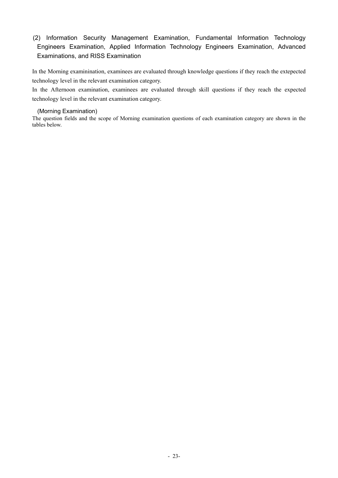### (2) Information Security Management Examination, Fundamental Information Technology Engineers Examination, Applied Information Technology Engineers Examination, Advanced Examinations, and RISS Examination

In the Morning examinination, examinees are evaluated through knowledge questions if they reach the extepected technology level in the relevant examination category.

In the Afternoon examination, examinees are evaluated through skill questions if they reach the expected technology level in the relevant examination category.

#### (Morning Examination)

The question fields and the scope of Morning examination questions of each examination category are shown in the tables below.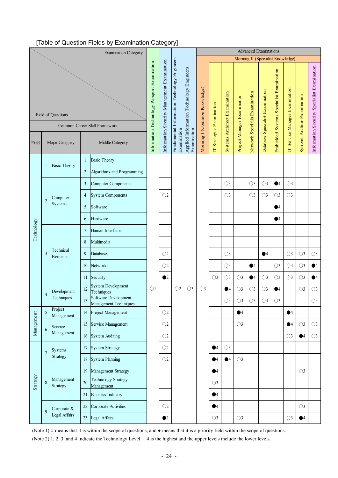### [Table of Question Fields by Examination Category]

|                                                     |                                                  |                        |                | <b>Examination Category</b>                   |                                             |                                             |                                              |                                                         |                              |                           |                               |                             |                               | <b>Advanced Examinations</b>    |                                         |                                |                             |                                             |
|-----------------------------------------------------|--------------------------------------------------|------------------------|----------------|-----------------------------------------------|---------------------------------------------|---------------------------------------------|----------------------------------------------|---------------------------------------------------------|------------------------------|---------------------------|-------------------------------|-----------------------------|-------------------------------|---------------------------------|-----------------------------------------|--------------------------------|-----------------------------|---------------------------------------------|
|                                                     |                                                  |                        |                |                                               |                                             |                                             |                                              |                                                         |                              |                           |                               |                             |                               |                                 | Morning II (Specialist Knowledge)       |                                |                             |                                             |
| Field of Questions<br>Common Career Skill Framework |                                                  |                        |                |                                               |                                             | Information Security Management Examination | Fundamental Information Technology Engineers | Applied Information Technology Engineers<br>Examination | Morning I (Common Knowledge) | IT Strategist Examination | Systems Architect Examination | Project Manager Examination | Network Specialis Examination | Database Specialist Examination | Embedded Systems Specialist Examination | IT Service Manager Examination | Systems Auditor Examination | Information Security Specialist Examination |
| Field                                               |                                                  | Major Category         |                | Middle Category                               | Information Technology Passport Examination |                                             | Examination                                  |                                                         |                              |                           |                               |                             |                               |                                 |                                         |                                |                             |                                             |
|                                                     | 1                                                | <b>Basic Theory</b>    | $\mathbf{1}$   | <b>Basic Theory</b>                           |                                             |                                             |                                              |                                                         |                              |                           |                               |                             |                               |                                 |                                         |                                |                             |                                             |
|                                                     |                                                  |                        | $\overline{c}$ | Algorithms and Programming                    |                                             |                                             |                                              |                                                         |                              |                           |                               |                             |                               |                                 |                                         |                                |                             |                                             |
|                                                     |                                                  |                        | 3              | <b>Computer Components</b>                    |                                             |                                             |                                              |                                                         |                              |                           | $\bigcirc$ 3                  |                             | $\bigcirc$ 3                  | $\bigcirc$ 3                    | $\bullet$ <sup>4</sup>                  | $\bigcirc$ 3                   |                             |                                             |
|                                                     |                                                  | Computer               | $\overline{4}$ | <b>System Components</b>                      |                                             | $\bigcirc$ 2                                |                                              |                                                         |                              |                           | $\bigcirc$ 3                  |                             | $\bigcirc$ 3                  | $\bigcirc$ 3                    | $\bigcirc$ 3                            | $\bigcirc$ 3                   |                             |                                             |
|                                                     | $\sqrt{2}$                                       | Systems                | 5              | Software                                      |                                             |                                             |                                              |                                                         |                              |                           |                               |                             |                               |                                 | $\bullet$ 4                             |                                |                             |                                             |
|                                                     |                                                  |                        | 6              | Hardware                                      |                                             |                                             |                                              |                                                         |                              |                           |                               |                             |                               |                                 | $\bullet$ <sup>4</sup>                  |                                |                             |                                             |
| Technology                                          |                                                  |                        | $\overline{7}$ | Human Interfaces                              |                                             |                                             |                                              |                                                         |                              |                           |                               |                             |                               |                                 |                                         |                                |                             |                                             |
|                                                     |                                                  |                        | 8              | Multimedia                                    |                                             |                                             |                                              |                                                         |                              |                           |                               |                             |                               |                                 |                                         |                                |                             |                                             |
|                                                     | Technical<br>$\overline{\mathbf{3}}$<br>Elements | 9                      | Databases      |                                               | $\bigcirc$                                  |                                             |                                              |                                                         |                              | $\bigcirc$ 3              |                               |                             | $\bullet$ <sup>4</sup>        |                                 | $\bigcirc$ 3                            | $\bigcirc$ 3                   | $\bigcirc$ 3                |                                             |
|                                                     |                                                  |                        |                | Networks                                      |                                             | $\bigcirc$ 2                                |                                              |                                                         |                              |                           | $\bigcirc$ 3                  |                             | $\bullet$ 4                   |                                 | $\bigcirc$ 3                            | $\bigcirc$ 3                   | $\bigcirc$ 3                | $\bullet$ 4                                 |
|                                                     |                                                  |                        | 11             | Security                                      |                                             | $\bullet$ <sup>2</sup>                      |                                              |                                                         |                              | $\bigcirc$ 3              | $\bigcirc$ 3                  | $\bigcirc$ 3                | $\bullet$ 4                   | $\bigcirc$ 3                    | $\bigcirc$ 3                            | $\bigcirc$ 3                   | $\bigcirc$ 3                | $\bullet$ 4                                 |
|                                                     |                                                  | Development            | 12             | <b>System Development</b><br>Techniques       | $\bigcirc$ 1                                |                                             | $\bigcirc$                                   | $\bigcirc$ 3                                            | $\bigcirc$ 3                 |                           | $\bullet$ <sup>4</sup>        | $\bigcirc$ 3                | $\bigcirc$ 3                  | $\bigcirc$ 3                    | $\bullet$ <sup>4</sup>                  |                                | $\bigcirc$ 3                | $\bigcirc$ 3                                |
|                                                     | $\overline{4}$                                   | Techniques             | 13             | Software Development<br>Management Techniques |                                             |                                             |                                              |                                                         |                              |                           | $\bigcirc$ 3                  | $\bigcirc$ 3                | $\bigcirc$ 3                  | $\bigcirc$ 3                    | $\bigcirc$ 3                            |                                |                             | $\bigcirc$ 3                                |
|                                                     | 5                                                | Project<br>Management  | 14             | Project Management                            |                                             | $\bigcirc$ 2                                |                                              |                                                         |                              |                           |                               | $\bullet$ <sup>4</sup>      |                               |                                 |                                         | $\bullet$ <sup>4</sup>         |                             |                                             |
| Management                                          |                                                  | Service                | 15             | Service Management                            |                                             | $\bigcirc$                                  |                                              |                                                         |                              |                           |                               | $\bigcirc$ 3                |                               |                                 |                                         | $\bullet$ 4                    | $\bigcirc$ 3                | $\bigcirc$ 3                                |
|                                                     | $\boldsymbol{6}$                                 | Management             | 16             | <b>System Auditing</b>                        |                                             | $\bigcirc$ 2                                |                                              |                                                         |                              |                           |                               |                             |                               |                                 |                                         | $\bigcirc$ 3                   | $\bullet$ <sup>4</sup>      | $\bigcirc$ 3                                |
|                                                     | $\overline{7}$                                   | Systems                | 17             | <b>System Strategy</b>                        |                                             | $\bigcirc$ 2                                |                                              |                                                         |                              | $\bullet$ 4               | $\bigcirc$ 3                  |                             |                               |                                 |                                         |                                |                             |                                             |
|                                                     |                                                  | Strategy               | 18             | <b>System Planning</b>                        |                                             | $\bigcirc$                                  |                                              |                                                         |                              | $\bullet$ 4               | $\bullet$ 4                   | $\bigcirc$ 3                |                               |                                 |                                         |                                |                             |                                             |
|                                                     |                                                  |                        | 19             | Management Strategy                           |                                             |                                             |                                              |                                                         |                              | $\bullet$ 4               |                               |                             |                               |                                 |                                         |                                | $\bigcirc$ 3                |                                             |
| Strategy                                            | $\boldsymbol{8}$                                 | Management<br>Strategy | 20             | <b>Technology Strategy</b><br>Management      |                                             |                                             |                                              |                                                         |                              | $\bigcirc$ 3              |                               |                             |                               |                                 |                                         |                                |                             |                                             |
|                                                     |                                                  |                        | 21             | <b>Business Industry</b>                      |                                             |                                             |                                              |                                                         |                              | $\bullet$ 4               |                               |                             |                               |                                 |                                         |                                |                             |                                             |
|                                                     | 9                                                | Corporate &            | 22             | Corporate Activities                          |                                             | $\bigcirc$                                  |                                              |                                                         |                              | $\bullet$ 4               |                               |                             |                               |                                 |                                         |                                | $\bigcirc$ 3                |                                             |
|                                                     |                                                  | Legal Affairs          | 23             | Legal Affairs                                 |                                             | $\bullet$ 2                                 |                                              |                                                         |                              | $\bigcirc$ 3              |                               | $\bigcirc$ 3                |                               |                                 |                                         | $\bigcirc$ 3                   | $\bullet$ <sup>4</sup>      |                                             |

(Note 1) ○ means that it is within the scope of questions, and ● means that it is a priority field within the scope of questions. (Note 2) 1, 2, 3, and 4 indicate the Technology Level. 4 is the highest and the upper levels include the lower levels.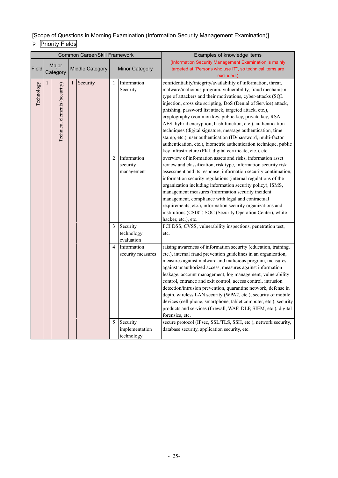[Scope of Questions in Morning Examination (Information Security Management Examination)]

# **Priority Fields**

|            |              |                               |              | Common Career/Skill Framework |                |                       | Examples of knowledge items                                       |
|------------|--------------|-------------------------------|--------------|-------------------------------|----------------|-----------------------|-------------------------------------------------------------------|
|            |              | Major                         |              |                               |                |                       | (Information Security Management Examination is mainly            |
| Field      |              | Category                      |              | Middle Category               |                | <b>Minor Category</b> | targeted at "Persons who use IT", so technical items are          |
|            |              |                               |              |                               |                |                       | excluded.)                                                        |
| Technology | $\mathbf{1}$ | Technical elements (security) | $\mathbf{1}$ | Security                      | 1              | Information           | confidentiality/integrity/availability of information, threat,    |
|            |              |                               |              |                               |                | Security              | malware/malicious program, vulnerability, fraud mechanism,        |
|            |              |                               |              |                               |                |                       | type of attackers and their motivations, cyber-attacks (SQL       |
|            |              |                               |              |                               |                |                       | injection, cross site scripting, DoS (Denial of Service) attack,  |
|            |              |                               |              |                               |                |                       | phishing, password list attack, targeted attack, etc.),           |
|            |              |                               |              |                               |                |                       | cryptography (common key, public key, private key, RSA,           |
|            |              |                               |              |                               |                |                       | AES, hybrid encryption, hash function, etc.), authentication      |
|            |              |                               |              |                               |                |                       | techniques (digital signature, message authentication, time       |
|            |              |                               |              |                               |                |                       | stamp, etc.), user authentication (ID/password, multi-factor      |
|            |              |                               |              |                               |                |                       | authentication, etc.), biometric authentication technique, public |
|            |              |                               |              |                               |                |                       | key infrastructure (PKI, digital certificate, etc.), etc.         |
|            |              |                               |              |                               | $\overline{2}$ | Information           | overview of information assets and risks, information asset       |
|            |              |                               |              |                               |                | security              | review and classification, risk type, information security risk   |
|            |              |                               |              |                               |                | management            | assessment and its response, information security continuation,   |
|            |              |                               |              |                               |                |                       | information security regulations (internal regulations of the     |
|            |              |                               |              |                               |                |                       | organization including information security policy), ISMS,        |
|            |              |                               |              |                               |                |                       | management measures (information security incident                |
|            |              |                               |              |                               |                |                       | management, compliance with legal and contractual                 |
|            |              |                               |              |                               |                |                       | requirements, etc.), information security organizations and       |
|            |              |                               |              |                               |                |                       | institutions (CSIRT, SOC (Security Operation Center), white       |
|            |              |                               |              |                               |                |                       | hacker, etc.), etc.                                               |
|            |              |                               |              |                               | 3              | Security              | PCI DSS, CVSS, vulnerability inspections, penetration test,       |
|            |              |                               |              |                               |                | technology            | etc.                                                              |
|            |              |                               |              |                               |                | evaluation            |                                                                   |
|            |              |                               |              |                               | $\overline{4}$ | Information           | raising awareness of information security (education, training,   |
|            |              |                               |              |                               |                | security measures     | etc.), internal fraud prevention guidelines in an organization,   |
|            |              |                               |              |                               |                |                       | measures against malware and malicious program, measures          |
|            |              |                               |              |                               |                |                       | against unauthorized access, measures against information         |
|            |              |                               |              |                               |                |                       | leakage, account management, log management, vulnerability        |
|            |              |                               |              |                               |                |                       | control, entrance and exit control, access control, intrusion     |
|            |              |                               |              |                               |                |                       | detection/intrusion prevention, quarantine network, defense in    |
|            |              |                               |              |                               |                |                       | depth, wireless LAN security (WPA2, etc.), security of mobile     |
|            |              |                               |              |                               |                |                       | devices (cell phone, smartphone, tablet computer, etc.), security |
|            |              |                               |              |                               |                |                       | products and services (firewall, WAF, DLP, SIEM, etc.), digital   |
|            |              |                               |              |                               |                |                       | forensics, etc.                                                   |
|            |              |                               |              |                               | 5              | Security              | secure protocol (IPsec, SSL/TLS, SSH, etc.), network security,    |
|            |              |                               |              |                               |                | implementation        | database security, application security, etc.                     |
|            |              |                               |              |                               |                | technology            |                                                                   |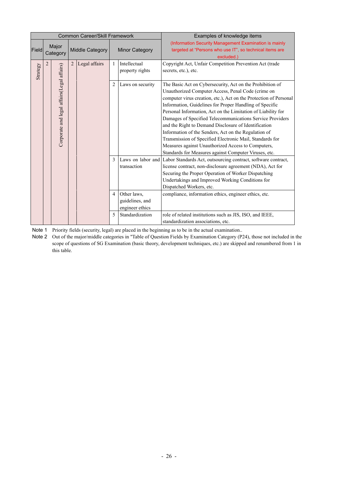| Common Career/Skill Framework |                |                                            |   |                 |                |                       | Examples of knowledge items                                                     |
|-------------------------------|----------------|--------------------------------------------|---|-----------------|----------------|-----------------------|---------------------------------------------------------------------------------|
|                               |                | Major                                      |   |                 |                |                       | (Information Security Management Examination is mainly                          |
| Field                         |                | Category                                   |   | Middle Category |                | <b>Minor Category</b> | targeted at "Persons who use IT", so technical items are                        |
|                               |                |                                            |   |                 |                |                       | excluded.)                                                                      |
|                               | $\overline{2}$ |                                            | 2 | Legal affairs   | 1              | Intellectual          | Copyright Act, Unfair Competition Prevention Act (trade                         |
| Strategy                      |                | Corporate and legal affairs(Legal affairs) |   |                 |                | property rights       | secrets, etc.), etc.                                                            |
|                               |                |                                            |   |                 |                |                       |                                                                                 |
|                               |                |                                            |   |                 | $\overline{2}$ | Laws on security      | The Basic Act on Cybersecurity, Act on the Prohibition of                       |
|                               |                |                                            |   |                 |                |                       | Unauthorized Computer Access, Penal Code (crime on                              |
|                               |                |                                            |   |                 |                |                       | computer virus creation, etc.), Act on the Protection of Personal               |
|                               |                |                                            |   |                 |                |                       | Information, Guidelines for Proper Handling of Specific                         |
|                               |                |                                            |   |                 |                |                       | Personal Information, Act on the Limitation of Liability for                    |
|                               |                |                                            |   |                 |                |                       | Damages of Specified Telecommunications Service Providers                       |
|                               |                |                                            |   |                 |                |                       | and the Right to Demand Disclosure of Identification                            |
|                               |                |                                            |   |                 |                |                       | Information of the Senders, Act on the Regulation of                            |
|                               |                |                                            |   |                 |                |                       | Transmission of Specified Electronic Mail, Standards for                        |
|                               |                |                                            |   |                 |                |                       | Measures against Unauthorized Access to Computers,                              |
|                               |                |                                            |   |                 |                |                       | Standards for Measures against Computer Viruses, etc.                           |
|                               |                |                                            |   |                 | $\mathcal{E}$  |                       | Laws on labor and Labor Standards Act, outsourcing contract, software contract, |
|                               |                |                                            |   |                 |                | transaction           | license contract, non-disclosure agreement (NDA), Act for                       |
|                               |                |                                            |   |                 |                |                       | Securing the Proper Operation of Worker Dispatching                             |
|                               |                |                                            |   |                 |                |                       | Undertakings and Improved Working Conditions for                                |
|                               |                |                                            |   |                 |                |                       | Dispatched Workers, etc.                                                        |
|                               |                |                                            |   |                 | $\overline{4}$ | Other laws,           | compliance, information ethics, engineer ethics, etc.                           |
|                               |                |                                            |   |                 |                | guidelines, and       |                                                                                 |
|                               |                |                                            |   |                 |                | engineer ethics       |                                                                                 |
|                               |                |                                            |   |                 | 5              | Standardization       | role of related institutions such as JIS, ISO, and IEEE,                        |
|                               |                |                                            |   |                 |                |                       | standardization associations, etc.                                              |

Note 1 Priority fields (security, legal) are placed in the beginning as to be in the actual examination..

Note 2 Out of the major/middle categories in "Table of Question Fields by Examination Category (P24), those not included in the scope of questions of SG Examination (basic theory, development techniques, etc.) are skipped and renumbered from 1 in this table.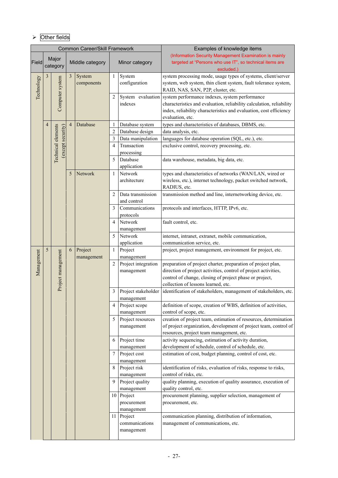### $\triangleright$  Other fields

|              |                | <b>Common Career/Skill Framework</b>    |                |                       |                         |                                                                                                                                            | Examples of knowledge items                                                                                                                                                                                                        |
|--------------|----------------|-----------------------------------------|----------------|-----------------------|-------------------------|--------------------------------------------------------------------------------------------------------------------------------------------|------------------------------------------------------------------------------------------------------------------------------------------------------------------------------------------------------------------------------------|
| <b>Field</b> |                | Major<br>category                       |                | Middle category       |                         | Minor category                                                                                                                             | (Information Security Management Examination is mainly<br>targeted at "Persons who use IT", so technical items are<br>excluded.)                                                                                                   |
|              | 3              |                                         | 3              | System                | System<br>1             |                                                                                                                                            | system processing mode, usage types of systems, client/server                                                                                                                                                                      |
| Technology   |                |                                         |                | components            |                         | configuration                                                                                                                              | system, web system, thin client system, fault tolerance system,<br>RAID, NAS, SAN, P2P, cluster, etc.                                                                                                                              |
|              |                | Computer system                         |                |                       | $\overline{2}$          | indexes                                                                                                                                    | System evaluation system performance indexes, system performance<br>characteristics and evaluation, reliability calculation, reliability<br>index, reliability characteristics and evaluation, cost efficiency<br>evaluation, etc. |
|              | $\overline{4}$ |                                         | $\overline{4}$ | Database              | 1                       | Database system                                                                                                                            | types and characteristics of databases, DBMS, etc.                                                                                                                                                                                 |
|              |                |                                         |                |                       | $\overline{2}$          | Database design                                                                                                                            | data analysis, etc.                                                                                                                                                                                                                |
|              |                |                                         |                |                       | 3                       | Data manipulation                                                                                                                          | languages for database operation (SQL, etc.), etc.                                                                                                                                                                                 |
|              |                | Technical elements<br>(except security) |                |                       | $\overline{4}$          | Transaction<br>processing                                                                                                                  | exclusive control, recovery processing, etc.                                                                                                                                                                                       |
|              |                |                                         |                |                       | 5                       | Database<br>application                                                                                                                    | data warehouse, metadata, big data, etc.                                                                                                                                                                                           |
|              | 5<br>Network   |                                         |                | $\mathbf{1}$          | Network<br>architecture | types and characteristics of networks (WAN/LAN, wired or<br>wireless, etc.), internet technology, packet switched network,<br>RADIUS, etc. |                                                                                                                                                                                                                                    |
|              |                |                                         |                |                       | $\overline{c}$          | Data transmission<br>and control                                                                                                           | transmission method and line, internetworking device, etc.                                                                                                                                                                         |
|              |                |                                         |                |                       | 3                       | Communications<br>protocols                                                                                                                | protocols and interfaces, HTTP, IPv6, etc.                                                                                                                                                                                         |
|              |                |                                         |                |                       | $\overline{4}$          | Network<br>management                                                                                                                      | fault control, etc.                                                                                                                                                                                                                |
|              |                |                                         |                |                       | 5                       | Network<br>application                                                                                                                     | internet, intranet, extranet, mobile communication,<br>communication service, etc.                                                                                                                                                 |
|              | 5              |                                         | 6              | Project<br>management | 1                       | Project<br>management                                                                                                                      | project, project management, environment for project, etc.                                                                                                                                                                         |
| Management   |                | Project management                      |                |                       | $\overline{2}$          | Project integration<br>management                                                                                                          | preparation of project charter, preparation of project plan,<br>direction of project activities, control of project activities,<br>control of change, closing of project phase or project,<br>collection of lessons learned, etc.  |
|              |                |                                         |                |                       | 3                       | Project stakeholder<br>management                                                                                                          | identification of stakeholders, management of stakeholders, etc.                                                                                                                                                                   |
|              |                |                                         |                |                       | 4                       | Project scope<br>management                                                                                                                | definition of scope, creation of WBS, definition of activities,<br>control of scope, etc.                                                                                                                                          |
|              |                |                                         |                |                       | 5                       | Project resources<br>management                                                                                                            | creation of project team, estimation of resources, determination<br>of project organization, development of project team, control of<br>resources, project team management, etc.                                                   |
|              |                |                                         |                |                       | 6                       | Project time<br>management                                                                                                                 | activity sequencing, estimation of activity duration,<br>development of schedule, control of schedule, etc.                                                                                                                        |
|              |                |                                         |                |                       | 7                       | Project cost                                                                                                                               | estimation of cost, budget planning, control of cost, etc.                                                                                                                                                                         |
|              |                |                                         |                |                       | 8                       | management<br>Project risk                                                                                                                 | identification of risks, evaluation of risks, response to risks,                                                                                                                                                                   |
|              |                |                                         |                |                       |                         | management                                                                                                                                 | control of risks, etc.                                                                                                                                                                                                             |
|              |                |                                         |                |                       | 9                       | Project quality                                                                                                                            | quality planning, execution of quality assurance, execution of                                                                                                                                                                     |
|              |                |                                         |                |                       |                         | management                                                                                                                                 | quality control, etc.                                                                                                                                                                                                              |
|              |                |                                         |                |                       |                         | 10 Project                                                                                                                                 | procurement planning, supplier selection, management of                                                                                                                                                                            |
|              |                |                                         |                |                       |                         | procurement                                                                                                                                | procurement, etc.                                                                                                                                                                                                                  |
|              |                |                                         |                |                       |                         | management                                                                                                                                 |                                                                                                                                                                                                                                    |
|              |                |                                         |                |                       |                         | 11 Project                                                                                                                                 | communication planning, distribution of information,                                                                                                                                                                               |
|              |                |                                         |                |                       |                         | communications<br>management                                                                                                               | management of communications, etc.                                                                                                                                                                                                 |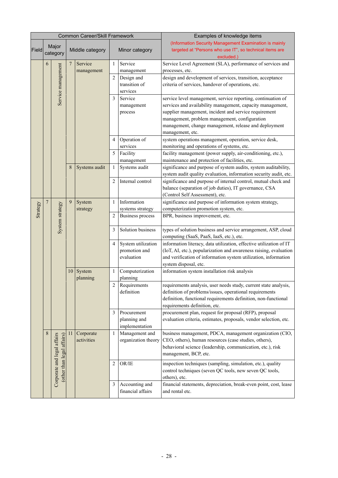|          |         |                                                           |                | Common Career/Skill Framework |                |                                                   | Examples of knowledge items                                                                                                                                                                                                                                                                                       |  |  |   |  |  |  |  |  |  |  |  |  |
|----------|---------|-----------------------------------------------------------|----------------|-------------------------------|----------------|---------------------------------------------------|-------------------------------------------------------------------------------------------------------------------------------------------------------------------------------------------------------------------------------------------------------------------------------------------------------------------|--|--|---|--|--|--|--|--|--|--|--|--|
| Field    |         | Major<br>category                                         |                | Middle category               |                | Minor category                                    | (Information Security Management Examination is mainly<br>targeted at "Persons who use IT", so technical items are<br>excluded.)                                                                                                                                                                                  |  |  |   |  |  |  |  |  |  |  |  |  |
|          | 6       |                                                           | $\overline{7}$ | Service<br>management         | 1              | Service<br>management                             | Service Level Agreement (SLA), performance of services and<br>processes, etc.                                                                                                                                                                                                                                     |  |  |   |  |  |  |  |  |  |  |  |  |
|          |         | Service management                                        |                |                               | $\overline{2}$ | Design and<br>transition of<br>services           | design and development of services, transition, acceptance<br>criteria of services, handover of operations, etc.                                                                                                                                                                                                  |  |  |   |  |  |  |  |  |  |  |  |  |
|          |         |                                                           |                |                               | 3              | Service<br>management<br>process                  | service level management, service reporting, continuation of<br>services and availability management, capacity management,<br>supplier management, incident and service requirement<br>management, problem management, configuration<br>management, change management, release and deployment<br>management, etc. |  |  |   |  |  |  |  |  |  |  |  |  |
|          |         |                                                           |                |                               | 4              | Operation of<br>services                          | system operations management, operation, service desk,<br>monitoring and operations of systems, etc.                                                                                                                                                                                                              |  |  |   |  |  |  |  |  |  |  |  |  |
|          |         |                                                           |                |                               | 5              | Facility<br>management                            | facility management (power supply, air-conditioning, etc.),<br>maintenance and protection of facilities, etc.                                                                                                                                                                                                     |  |  |   |  |  |  |  |  |  |  |  |  |
|          |         |                                                           | 8              | Systems audit                 | 1              | Systems audit                                     | significance and purpose of system audits, system auditability,<br>system audit quality evaluation, information security audit, etc.                                                                                                                                                                              |  |  |   |  |  |  |  |  |  |  |  |  |
|          |         |                                                           |                |                               | $\overline{2}$ | Internal control                                  | significance and purpose of internal control, mutual check and<br>balance (separation of job duties), IT governance, CSA<br>(Control Self Assessment), etc.                                                                                                                                                       |  |  |   |  |  |  |  |  |  |  |  |  |
| Strategy | 7       |                                                           | 9              | System<br>strategy            | 1              | Information<br>systems strategy                   | significance and purpose of information system strategy,<br>computerization promotion system, etc.                                                                                                                                                                                                                |  |  |   |  |  |  |  |  |  |  |  |  |
|          |         | System strategy                                           |                |                               | $\overline{2}$ | <b>Business process</b>                           | BPR, business improvement, etc.                                                                                                                                                                                                                                                                                   |  |  |   |  |  |  |  |  |  |  |  |  |
|          |         |                                                           |                |                               | 3              | Solution business                                 | types of solution business and service arrangement, ASP, cloud<br>computing (SaaS, PaaS, IaaS, etc.), etc.                                                                                                                                                                                                        |  |  |   |  |  |  |  |  |  |  |  |  |
|          |         |                                                           |                |                               | $\overline{4}$ | System utilization<br>promotion and<br>evaluation | information literacy, data utilization, effective utilization of IT<br>(IoT, AI, etc.), popularization and awareness raising, evaluation<br>and verification of information system utilization, information<br>system disposal, etc.                                                                              |  |  |   |  |  |  |  |  |  |  |  |  |
|          |         |                                                           | 10             | System<br>planning            | 1              | Computerization<br>planning                       | information system installation risk analysis                                                                                                                                                                                                                                                                     |  |  |   |  |  |  |  |  |  |  |  |  |
|          |         |                                                           |                |                               | $\mathfrak{D}$ | Requirements<br>definition                        | requirements analysis, user needs study, current state analysis,<br>definition of problems/issues, operational requirements<br>definition, functional requirements definition, non-functional<br>requirements definition, etc.                                                                                    |  |  |   |  |  |  |  |  |  |  |  |  |
|          |         |                                                           |                |                               | 3              | Procurement<br>planning and<br>implementation     | procurement plan, request for proposal (RFP), proposal<br>evaluation criteria, estimates, proposals, vendor selection, etc.                                                                                                                                                                                       |  |  |   |  |  |  |  |  |  |  |  |  |
|          | $\,8\,$ | Corporate and legal affairs<br>(other than legal affairs) | 11             | Corporate<br>1<br>activities  |                | Management and<br>organization theory             | business management, PDCA, management organization (CIO,<br>CEO, others), human resources (case studies, others),<br>behavioral science (leadership, communication, etc.), risk<br>management, BCP, etc.                                                                                                          |  |  |   |  |  |  |  |  |  |  |  |  |
|          |         |                                                           |                |                               |                |                                                   |                                                                                                                                                                                                                                                                                                                   |  |  | 2 |  |  |  |  |  |  |  |  |  |
|          |         |                                                           |                |                               | 3              | Accounting and<br>financial affairs               | financial statements, depreciation, break-even point, cost, lease<br>and rental etc.                                                                                                                                                                                                                              |  |  |   |  |  |  |  |  |  |  |  |  |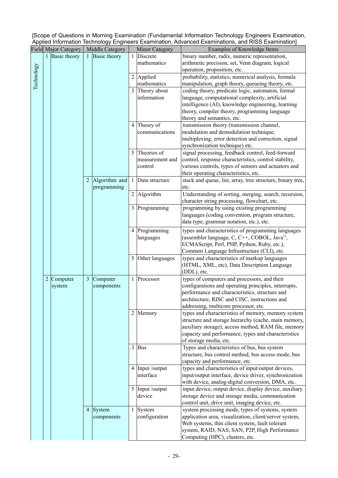|                                                                                                    | [Scope of Questions in Morning Examination (Fundamental Information Technology Engineers Examination, |
|----------------------------------------------------------------------------------------------------|-------------------------------------------------------------------------------------------------------|
| Applied Information Technology Engineers Examination, Advanced Examinations, and RISS Examination] |                                                                                                       |

|            |                | <b>Field Major Category</b> |                | Middle Category     |                | Minor Category               | Examples of Knowledge Items                                                                                 |
|------------|----------------|-----------------------------|----------------|---------------------|----------------|------------------------------|-------------------------------------------------------------------------------------------------------------|
|            |                | 1 Basic theory              | $\mathbf{1}$   | <b>Basic theory</b> |                | Discrete                     | binary number, radix, numeric representation,                                                               |
|            |                |                             |                |                     |                | mathematics                  | arithmetic precision, set, Venn diagram, logical                                                            |
|            |                |                             |                |                     |                |                              | operation, proposition, etc.                                                                                |
| Technology |                |                             |                |                     |                | 2 Applied                    | probability, statistics, numerical analysis, formula                                                        |
|            |                |                             |                |                     |                | mathematics                  | manipulation, graph theory, queueing theory, etc.                                                           |
|            |                |                             |                |                     |                | 3 Theory about               | coding theory, predicate logic, automaton, formal                                                           |
|            |                |                             |                |                     |                | information                  | language, computational complexity, artificial                                                              |
|            |                |                             |                |                     |                |                              | intelligence (AI), knowledge engineering, learning                                                          |
|            |                |                             |                |                     |                |                              | theory, compiler theory, programming language                                                               |
|            |                |                             |                |                     |                |                              | theory and semantics, etc.                                                                                  |
|            |                |                             |                |                     |                | 4 Theory of                  | transmission theory (transmission channel,                                                                  |
|            |                |                             |                |                     |                | communications               | modulation and demodulation technique,                                                                      |
|            |                |                             |                |                     |                |                              | multiplexing, error detection and correction, signal                                                        |
|            |                |                             |                |                     |                |                              | synchronization technique) etc.                                                                             |
|            |                |                             |                |                     | 5              | Theories of                  | signal processing, feedback control, feed-forward                                                           |
|            |                |                             |                |                     |                | measurement and              | control, response characteristics, control stability,                                                       |
|            |                |                             |                |                     |                | control                      | various controls, types of sensors and actuators and                                                        |
|            |                |                             |                |                     |                |                              | their operating characteristics, etc.                                                                       |
|            |                |                             | $\overline{2}$ | Algorithm and       | -1             | Data structure               | stack and queue, list, array, tree structure, binary tree,                                                  |
|            |                |                             |                | programming         |                |                              | etc.                                                                                                        |
|            |                |                             |                |                     | $\overline{2}$ | Algorithm                    | Understanding of sorting, merging, search, recursion,                                                       |
|            |                |                             |                |                     |                |                              | character string processing, flowchart, etc.<br>programming by using existing programming                   |
|            |                |                             |                |                     | 3              | Programming                  | languages (coding convention, program structure,                                                            |
|            |                |                             |                |                     |                |                              | data type, grammar notation, etc.), etc.                                                                    |
|            |                |                             |                |                     |                |                              |                                                                                                             |
|            |                |                             |                |                     | 4              | Programming                  | types and characteristics of programming languages                                                          |
|            |                |                             |                |                     |                | languages                    | (assembler language, C, C++, COBOL, Java <sup>1)</sup> ,                                                    |
|            |                |                             |                |                     |                |                              | ECMAScript, Perl, PHP, Python, Ruby, etc.),<br>Common Language Infrastructure (CLI), etc.                   |
|            |                |                             |                |                     | 5              | Other languages              | types and characteristics of markup languages                                                               |
|            |                |                             |                |                     |                |                              | (HTML, XML, etc), Data Description Language                                                                 |
|            |                |                             |                |                     |                |                              | (DDL), etc.                                                                                                 |
|            | $\overline{c}$ | Computer                    | 3              | Computer            | 1              | Processor                    | types of computers and processors, and their                                                                |
|            |                | system                      |                | components          |                |                              | configurations and operating principles, interrupts,                                                        |
|            |                |                             |                |                     |                |                              | performance and characteristics, structure and                                                              |
|            |                |                             |                |                     |                |                              | architecture, RISC and CISC, instructions and                                                               |
|            |                |                             |                |                     |                |                              | addressing, multicore processor, etc.                                                                       |
|            |                |                             |                |                     | 2              | Memory                       | types and characteristics of memory, memory system                                                          |
|            |                |                             |                |                     |                |                              | structure and storage hierarchy (cache, main memory,                                                        |
|            |                |                             |                |                     |                |                              | auxiliary storage), access method, RAM file, memory                                                         |
|            |                |                             |                |                     |                |                              | capacity and performance, types and characteristics                                                         |
|            |                |                             |                |                     |                |                              | of storage media, etc.                                                                                      |
|            |                |                             |                |                     | 3              | <b>Bus</b>                   | Types and characteristics of bus, bus system                                                                |
|            |                |                             |                |                     |                |                              | structure, bus control method, bus access mode, bus                                                         |
|            |                |                             |                |                     |                |                              | capacity and performance, etc.                                                                              |
|            |                |                             |                |                     |                | 4 Input /output<br>interface | types and characteristics of input/output devices,                                                          |
|            |                |                             |                |                     |                |                              | input/output interface, device driver, synchronization<br>with device, analog-digital conversion, DMA, etc. |
|            |                |                             |                |                     |                | 5 Input /output              | input device, output device, display device, auxiliary                                                      |
|            |                |                             |                |                     |                | device                       | storage device and storage media, communication                                                             |
|            |                |                             |                |                     |                |                              | control unit, drive unit, imaging device, etc.                                                              |
|            |                |                             |                | 4 System            | 1              | System                       | system processing mode, types of systems, system                                                            |
|            |                |                             |                | components          |                | configuration                | application area, visualization, client/server system,                                                      |
|            |                |                             |                |                     |                |                              | Web systems, thin client system, fault tolerant                                                             |
|            |                |                             |                |                     |                |                              | system, RAID, NAS, SAN, P2P, High Performance                                                               |
|            |                |                             |                |                     |                |                              | Computing (HPC), clusters, etc.                                                                             |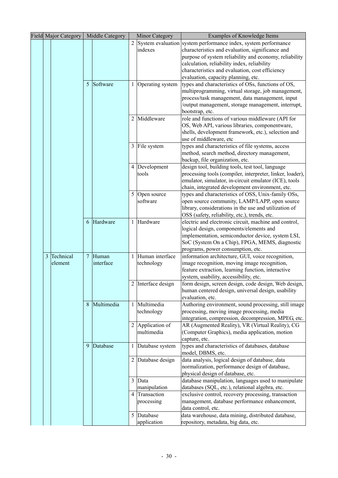|   | <b>Field Major Category</b> |                | Middle Category |   | <b>Minor Category</b>       | Examples of Knowledge Items                                                                            |
|---|-----------------------------|----------------|-----------------|---|-----------------------------|--------------------------------------------------------------------------------------------------------|
|   |                             |                |                 | 2 |                             | System evaluation system performance index, system performance                                         |
|   |                             |                |                 |   | indexes                     | characteristics and evaluation, significance and                                                       |
|   |                             |                |                 |   |                             | purpose of system reliability and economy, reliability                                                 |
|   |                             |                |                 |   |                             | calculation, reliability index, reliability                                                            |
|   |                             |                |                 |   |                             | characteristics and evaluation, cost efficiency                                                        |
|   |                             |                |                 |   |                             | evaluation, capacity planning, etc.                                                                    |
|   |                             | 5              | Software        | 1 | Operating system            | types and characteristics of OSs, functions of OS,                                                     |
|   |                             |                |                 |   |                             | multiprogramming, virtual storage, job management,                                                     |
|   |                             |                |                 |   |                             | process/task management, data management, input                                                        |
|   |                             |                |                 |   |                             | /output management, storage management, interrupt,                                                     |
|   |                             |                |                 |   | Middleware                  | bootstrap, etc.                                                                                        |
|   |                             |                |                 | 2 |                             | role and functions of various middleware (API for<br>OS, Web API, various libraries, componentware,    |
|   |                             |                |                 |   |                             | shells, development framework, etc.), selection and                                                    |
|   |                             |                |                 |   |                             | use of middleware, etc                                                                                 |
|   |                             |                |                 |   | 3 File system               | types and characteristics of file systems, access                                                      |
|   |                             |                |                 |   |                             | method, search method, directory management,                                                           |
|   |                             |                |                 |   |                             | backup, file organization, etc.                                                                        |
|   |                             |                |                 |   | 4 Development               | design tool, building tools, test tool, language                                                       |
|   |                             |                |                 |   | tools                       | processing tools (compiler, interpreter, linker, loader),                                              |
|   |                             |                |                 |   |                             | emulator, simulator, in-circuit emulator (ICE), tools                                                  |
|   |                             |                |                 |   |                             | chain, integrated development environment, etc.                                                        |
|   |                             |                |                 |   | 5 Open source               | types and characteristics of OSS, Unix-family OSs,                                                     |
|   |                             |                |                 |   | software                    | open source community, LAMP/LAPP, open source                                                          |
|   |                             |                |                 |   |                             | library, considerations in the use and utilization of                                                  |
|   |                             |                |                 |   |                             | OSS (safety, reliability, etc.), trends, etc.                                                          |
|   |                             | 6              | Hardware        | 1 | Hardware                    | electric and electronic circuit, machine and control,                                                  |
|   |                             |                |                 |   |                             | logical design, components/elements and                                                                |
|   |                             |                |                 |   |                             | implementation, semiconductor device, system LSI,                                                      |
|   |                             |                |                 |   |                             | SoC (System On a Chip), FPGA, MEMS, diagnostic                                                         |
| 3 | Technical                   | $\overline{7}$ | Human           |   | Human interface             | programs, power consumption, etc.                                                                      |
|   | element                     |                | interface       |   | technology                  | information architecture, GUI, voice recognition,<br>image recognition, moving image recognition,      |
|   |                             |                |                 |   |                             | feature extraction, learning function, interactive                                                     |
|   |                             |                |                 |   |                             | system, usability, accessibility, etc.                                                                 |
|   |                             |                |                 |   | 2 Interface design          | form design, screen design, code design, Web design,                                                   |
|   |                             |                |                 |   |                             | human centered design, universal design, usability                                                     |
|   |                             |                |                 |   |                             | evaluation, etc.                                                                                       |
|   |                             | 8              | Multimedia      | 1 | Multimedia                  | Authoring environment, sound processing, still image                                                   |
|   |                             |                |                 |   | technology                  | processing, moving image processing, media                                                             |
|   |                             |                |                 |   |                             | integration, compression, decompression, MPEG, etc.                                                    |
|   |                             |                |                 | 2 | Application of              | AR (Augmented Reality), VR (Virtual Reality), CG                                                       |
|   |                             |                |                 |   | multimedia                  | (Computer Graphics), media application, motion                                                         |
|   |                             |                |                 |   |                             | capture, etc.                                                                                          |
|   |                             | 9              | Database        | 1 | Database system             | types and characteristics of databases, database                                                       |
|   |                             |                |                 |   |                             | model, DBMS, etc.                                                                                      |
|   |                             |                |                 |   | 2 Database design           | data analysis, logical design of database, data                                                        |
|   |                             |                |                 |   |                             | normalization, performance design of database,                                                         |
|   |                             |                |                 |   |                             | physical design of database, etc.                                                                      |
|   |                             |                |                 | 3 | Data                        | database manipulation, languages used to manipulate                                                    |
|   |                             |                |                 | 4 | manipulation<br>Transaction | databases (SQL, etc.), relational algebra, etc.<br>exclusive control, recovery processing, transaction |
|   |                             |                |                 |   | processing                  | management, database performance enhancement,                                                          |
|   |                             |                |                 |   |                             | data control, etc.                                                                                     |
|   |                             |                |                 |   | 5 Database                  | data warehouse, data mining, distributed database,                                                     |
|   |                             |                |                 |   | application                 | repository, metadata, big data, etc.                                                                   |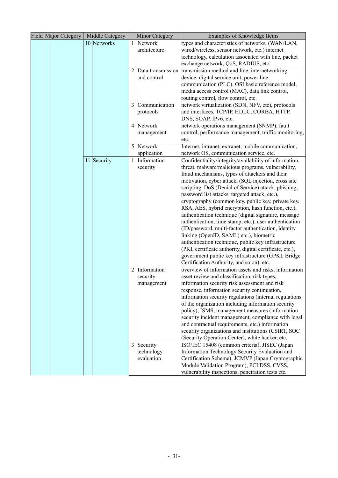| <b>Field Major Category</b> | Middle Category |                | <b>Minor Category</b> | Examples of Knowledge Items                              |
|-----------------------------|-----------------|----------------|-----------------------|----------------------------------------------------------|
|                             | 10 Networks     |                | 1 Network             | types and characteristics of networks, (WAN/LAN,         |
|                             |                 |                | architecture          | wired/wireless, sensor network, etc.) internet           |
|                             |                 |                |                       | technology, calculation associated with line, packet     |
|                             |                 |                |                       | exchange network, QoS, RADIUS, etc.                      |
|                             |                 |                | 2 Data transmission   | transmission method and line, internetworking            |
|                             |                 |                | and control           | device, digital service unit, power line                 |
|                             |                 |                |                       | communication (PLC), OSI basic reference model,          |
|                             |                 |                |                       | media access control (MAC), data link control,           |
|                             |                 |                |                       | routing control, flow control, etc.                      |
|                             |                 |                | 3 Communication       | network virtualization (SDN, NFV, etc), protocols        |
|                             |                 |                | protocols             | and interfaces, TCP/IP, HDLC, CORBA, HTTP,               |
|                             |                 |                |                       | DNS, SOAP, IPv6, etc.                                    |
|                             |                 |                | 4 Network             | network operations management (SNMP), fault              |
|                             |                 |                | management            | control, performance management, traffic monitoring,     |
|                             |                 |                |                       | etc.                                                     |
|                             |                 |                | 5 Network             | Internet, intranet, extranet, mobile communication,      |
|                             |                 |                | application           | network OS, communication service, etc.                  |
|                             | 11 Security     | $\mathbf{1}$   | Information           | Confidentiality/integrity/availability of information,   |
|                             |                 |                | security              | threat, malware/malicious programs, vulnerability,       |
|                             |                 |                |                       | fraud mechanisms, types of attackers and their           |
|                             |                 |                |                       | motivation, cyber attack, (SQL injection, cross site     |
|                             |                 |                |                       | scripting, DoS (Denial of Service) attack, phishing,     |
|                             |                 |                |                       | password list attacks, targeted attack, etc.),           |
|                             |                 |                |                       | cryptography (common key, public key, private key,       |
|                             |                 |                |                       | RSA, AES, hybrid encryption, hash function, etc.),       |
|                             |                 |                |                       | authentication technique (digital signature, message     |
|                             |                 |                |                       | authentication, time stamp, etc.), user authentication   |
|                             |                 |                |                       | (ID/password, multi-factor authentication, identity      |
|                             |                 |                |                       | linking (OpenID, SAML) etc.), biometric                  |
|                             |                 |                |                       | authentication technique, public key infrastructure      |
|                             |                 |                |                       | (PKI, certificate authority, digital certificate, etc.), |
|                             |                 |                |                       | government public key infrastructure (GPKI, Bridge       |
|                             |                 |                |                       | Certification Authority, and so on), etc.                |
|                             |                 | $\overline{2}$ | Information           | overview of information assets and risks, information    |
|                             |                 |                | security              | asset review and classification, risk types,             |
|                             |                 |                | management            | information security risk assessment and risk            |
|                             |                 |                |                       | response, information security continuation,             |
|                             |                 |                |                       | information security regulations (internal regulations   |
|                             |                 |                |                       | of the organization including information security       |
|                             |                 |                |                       | policy), ISMS, management measures (information          |
|                             |                 |                |                       | security incident management, compliance with legal      |
|                             |                 |                |                       | and contractual requirements, etc.) information          |
|                             |                 |                |                       | security organizations and institutions (CSIRT, SOC      |
|                             |                 |                |                       | (Security Operation Center), white hacker, etc.          |
|                             |                 |                | 3 Security            | ISO/IEC 15408 (common criteria), JISEC (Japan            |
|                             |                 |                | technology            | Information Technology Security Evaluation and           |
|                             |                 |                | evaluation            | Certification Scheme), JCMVP (Japan Cryptographic        |
|                             |                 |                |                       | Module Validation Program), PCI DSS, CVSS,               |
|                             |                 |                |                       | vulnerability inspections, penetration tests etc.        |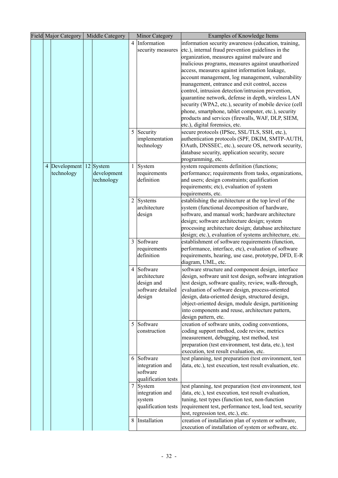|  | <b>Field Major Category</b> | Middle Category |                | <b>Minor Category</b> | Examples of Knowledge Items                                                                                      |
|--|-----------------------------|-----------------|----------------|-----------------------|------------------------------------------------------------------------------------------------------------------|
|  |                             |                 |                | 4 Information         | information security awareness (education, training,                                                             |
|  |                             |                 |                | security measures     | etc.), internal fraud prevention guidelines in the                                                               |
|  |                             |                 |                |                       | organization, measures against malware and                                                                       |
|  |                             |                 |                |                       | malicious programs, measures against unauthorized                                                                |
|  |                             |                 |                |                       | access, measures against information leakage,                                                                    |
|  |                             |                 |                |                       | account management, log management, vulnerability                                                                |
|  |                             |                 |                |                       | management, entrance and exit control, access                                                                    |
|  |                             |                 |                |                       | control, intrusion detection/intrusion prevention,                                                               |
|  |                             |                 |                |                       | quarantine network, defense in depth, wireless LAN                                                               |
|  |                             |                 |                |                       | security (WPA2, etc.), security of mobile device (cell                                                           |
|  |                             |                 |                |                       | phone, smartphone, tablet computer, etc.), security                                                              |
|  |                             |                 |                |                       | products and services (firewalls, WAF, DLP, SIEM,                                                                |
|  |                             |                 |                |                       | etc.), digital forensics, etc.                                                                                   |
|  |                             |                 |                | 5 Security            | secure protocols (IPSec, SSL/TLS, SSH, etc.),                                                                    |
|  |                             |                 |                | implementation        | authentication protocols (SPF, DKIM, SMTP-AUTH,                                                                  |
|  |                             |                 |                | technology            | OAuth, DNSSEC, etc.), secure OS, network security,                                                               |
|  |                             |                 |                |                       | database security, application security, secure                                                                  |
|  |                             |                 |                |                       | programming, etc.                                                                                                |
|  | 4 Development               | 12 System       |                | $1$ System            | system requirements definition (functions;                                                                       |
|  | technology                  | development     |                | requirements          | performance; requirements from tasks, organizations,                                                             |
|  |                             | technology      |                | definition            | and users; design constraints; qualification                                                                     |
|  |                             |                 |                |                       | requirements; etc), evaluation of system                                                                         |
|  |                             |                 |                |                       | requirements, etc.                                                                                               |
|  |                             |                 |                | 2 Systems             | establishing the architecture at the top level of the                                                            |
|  |                             |                 |                | architecture          | system (functional decomposition of hardware,                                                                    |
|  |                             |                 |                | design                | software, and manual work; hardware architecture                                                                 |
|  |                             |                 |                |                       | design; software architecture design; system                                                                     |
|  |                             |                 |                |                       | processing architecture design; database architecture<br>design; etc.), evaluation of systems architecture, etc. |
|  |                             |                 | $\overline{3}$ | Software              | establishment of software requirements (function,                                                                |
|  |                             |                 |                | requirements          | performance, interface, etc), evaluation of software                                                             |
|  |                             |                 |                | definition            | requirements, hearing, use case, prototype, DFD, E-R                                                             |
|  |                             |                 |                |                       | diagram, UML, etc.                                                                                               |
|  |                             |                 | 4              | Software              | software structure and component design, interface                                                               |
|  |                             |                 |                | architecture          | design, software unit test design, software integration                                                          |
|  |                             |                 |                | design and            | test design, software quality, review, walk-through,                                                             |
|  |                             |                 |                | software detailed     | evaluation of software design, process-oriented                                                                  |
|  |                             |                 |                | design                | design, data-oriented design, structured design,                                                                 |
|  |                             |                 |                |                       | object-oriented design, module design, partitioning                                                              |
|  |                             |                 |                |                       | into components and reuse, architecture pattern,                                                                 |
|  |                             |                 |                |                       | design pattern, etc.                                                                                             |
|  |                             |                 |                | 5 Software            | creation of software units, coding conventions,                                                                  |
|  |                             |                 |                | construction          | coding support method, code review, metrics                                                                      |
|  |                             |                 |                |                       | measurement, debugging, test method, test                                                                        |
|  |                             |                 |                |                       | preparation (test environment, test data, etc.), test                                                            |
|  |                             |                 |                |                       | execution, test result evaluation, etc.                                                                          |
|  |                             |                 |                | 6 Software            | test planning, test preparation (test environment, test                                                          |
|  |                             |                 |                | integration and       | data, etc.), test execution, test result evaluation, etc.                                                        |
|  |                             |                 |                | software              |                                                                                                                  |
|  |                             |                 |                | qualification tests   |                                                                                                                  |
|  |                             |                 | 7              | System                | test planning, test preparation (test environment, test                                                          |
|  |                             |                 |                | integration and       | data, etc.), test execution, test result evaluation,                                                             |
|  |                             |                 |                | system                | tuning, test types (function test, non-function                                                                  |
|  |                             |                 |                | qualification tests   | requirement test, performance test, load test, security                                                          |
|  |                             |                 |                |                       | test, regression test, etc.), etc.                                                                               |
|  |                             |                 | 8              | Installation          | creation of installation plan of system or software,                                                             |
|  |                             |                 |                |                       | execution of installation of system or software, etc.                                                            |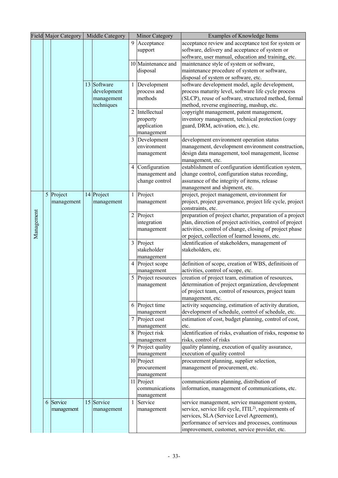|            | <b>Field Major Category</b><br>Middle Category |            | <b>Minor Category</b> |             | Examples of Knowledge Items |                    |                                                                                                                      |
|------------|------------------------------------------------|------------|-----------------------|-------------|-----------------------------|--------------------|----------------------------------------------------------------------------------------------------------------------|
|            |                                                |            |                       |             | 9                           | Acceptance         | acceptance review and acceptance test for system or                                                                  |
|            |                                                |            |                       |             |                             | support            | software, delivery and acceptance of system or                                                                       |
|            |                                                |            |                       |             |                             |                    | software, user manual, education and training, etc.                                                                  |
|            |                                                |            |                       |             |                             | 10 Maintenance and | maintenance style of system or software,                                                                             |
|            |                                                |            |                       |             |                             | disposal           | maintenance procedure of system or software,                                                                         |
|            |                                                |            |                       |             |                             |                    | disposal of system or software, etc.                                                                                 |
|            |                                                |            |                       | 13 Software | 1                           | Development        | software development model, agile development,                                                                       |
|            |                                                |            |                       | development |                             | process and        | process maturity level, software life cycle process                                                                  |
|            |                                                |            |                       | management  |                             | methods            | (SLCP), reuse of software, structured method, formal                                                                 |
|            |                                                |            |                       | techniques  |                             |                    | method, reverse engineering, mashup, etc.                                                                            |
|            |                                                |            |                       |             | $\overline{c}$              | Intellectual       | copyright management, patent management,                                                                             |
|            |                                                |            |                       |             |                             | property           | inventory management, technical protection (copy                                                                     |
|            |                                                |            |                       |             |                             | application        | guard, DRM, activation, etc.), etc.                                                                                  |
|            |                                                |            |                       |             |                             | management         |                                                                                                                      |
|            |                                                |            |                       |             | 3                           | Development        | development environment operation status                                                                             |
|            |                                                |            |                       |             |                             | environment        | management, development environment construction,                                                                    |
|            |                                                |            |                       |             |                             | management         | design data management, tool management, license                                                                     |
|            |                                                |            |                       |             |                             |                    | management, etc.                                                                                                     |
|            |                                                |            |                       |             | 4                           | Configuration      | establishment of configuration identification system,                                                                |
|            |                                                |            |                       |             |                             | management and     | change control, configuration status recording,                                                                      |
|            |                                                |            |                       |             |                             | change control     | assurance of the integrity of items, release                                                                         |
|            |                                                |            |                       |             |                             |                    | management and shipment, etc.                                                                                        |
|            |                                                | 5 Project  |                       | 14 Project  |                             | Project            | project, project management, environment for                                                                         |
|            |                                                | management |                       | management  |                             | management         | project, project governance, project life cycle, project                                                             |
|            |                                                |            |                       |             | $\overline{2}$              |                    | constraints, etc.                                                                                                    |
|            |                                                |            |                       |             |                             | Project            | preparation of project charter, preparation of a project                                                             |
|            |                                                |            |                       |             |                             | integration        | plan, direction of project activities, control of project<br>activities, control of change, closing of project phase |
| Management |                                                |            |                       |             |                             | management         | or poject, collection of learned lessons, etc.                                                                       |
|            |                                                |            |                       |             |                             | 3 Project          | identification of stakeholders, management of                                                                        |
|            |                                                |            |                       |             |                             | stakeholder        | stakeholders, etc.                                                                                                   |
|            |                                                |            |                       |             |                             | management         |                                                                                                                      |
|            |                                                |            |                       |             |                             | Project scope      | definition of scope, creation of WBS, definitioin of                                                                 |
|            |                                                |            |                       |             |                             | management         | activities, control of scope, etc.                                                                                   |
|            |                                                |            |                       |             | 5                           | Project resources  | creation of project team, estimation of resources,                                                                   |
|            |                                                |            |                       |             |                             | management         | determination of project organization, development                                                                   |
|            |                                                |            |                       |             |                             |                    | of project team, control of resources, project team                                                                  |
|            |                                                |            |                       |             |                             |                    | management, etc.                                                                                                     |
|            |                                                |            |                       |             |                             | 6 Project time     | activity sequencing, estimation of activity duration,                                                                |
|            |                                                |            |                       |             |                             | management         | development of schedule, control of schedule, etc.                                                                   |
|            |                                                |            |                       |             |                             | Project cost       | estimation of cost, budget planning, control of cost,                                                                |
|            |                                                |            |                       |             |                             | management         | etc.                                                                                                                 |
|            |                                                |            |                       |             |                             | 8 Project risk     | identification of risks, evaluation of risks, response to                                                            |
|            |                                                |            |                       |             |                             | management         | risks, control of risks                                                                                              |
|            |                                                |            |                       |             | 9                           | Project quality    | quality planning, execution of quality assurance,                                                                    |
|            |                                                |            |                       |             |                             | management         | execution of quality control                                                                                         |
|            |                                                |            |                       |             |                             | 10 Project         | procurement planning, supplier selection,                                                                            |
|            |                                                |            |                       |             |                             | procurement        | management of procurement, etc.                                                                                      |
|            |                                                |            |                       |             |                             | management         |                                                                                                                      |
|            |                                                |            |                       |             |                             | 11 Project         | communications planning, distribution of                                                                             |
|            |                                                |            |                       |             |                             | communications     | information, management of communications, etc.                                                                      |
|            |                                                |            |                       |             |                             | management         |                                                                                                                      |
|            | 6                                              | Service    |                       | 15 Service  | 1                           | Service            | service management, service management system,<br>service, service life cycle, ITIL <sup>2)</sup> , requirements of  |
|            |                                                | management |                       | management  |                             | management         | services, SLA (Service Level Agreement),                                                                             |
|            |                                                |            |                       |             |                             |                    | performance of services and processes, continuous                                                                    |
|            |                                                |            |                       |             |                             |                    | improvement, customer, service provider, etc.                                                                        |
|            |                                                |            |                       |             |                             |                    |                                                                                                                      |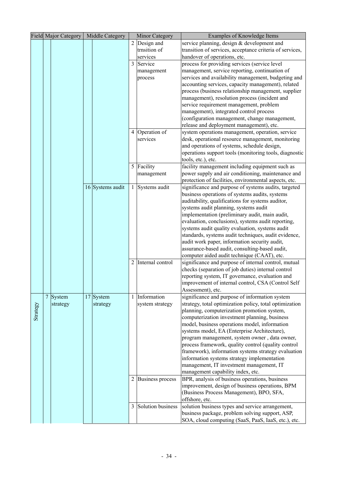|          | <b>Field Major Category</b> | Middle Category  | Minor Category |                    | Examples of Knowledge Items                                                                         |
|----------|-----------------------------|------------------|----------------|--------------------|-----------------------------------------------------------------------------------------------------|
|          |                             |                  |                | 2 Design and       | service planning, design & development and                                                          |
|          |                             |                  |                | trnsition of       | transition of services, acceptance criteria of services,                                            |
|          |                             |                  |                | services           | handover of operations, etc.                                                                        |
|          |                             |                  |                | 3 Service          | process for providing services (service level                                                       |
|          |                             |                  |                | management         | management, service reporting, continuation of                                                      |
|          |                             |                  |                | process            | services and availability management, budgeting and                                                 |
|          |                             |                  |                |                    | accounting services, capacity management), related                                                  |
|          |                             |                  |                |                    | process (business relationship management, supplier                                                 |
|          |                             |                  |                |                    | management), resolution process (incident and                                                       |
|          |                             |                  |                |                    | service requirement management, problem                                                             |
|          |                             |                  |                |                    | management), integrated control process                                                             |
|          |                             |                  |                |                    | (configuration management, change management,                                                       |
|          |                             |                  |                |                    | release and deployment management), etc.                                                            |
|          |                             |                  |                | 4 Operation of     | system operations management, operation, service                                                    |
|          |                             |                  |                | services           | desk, operational resource management, monitoring                                                   |
|          |                             |                  |                |                    | and operations of systems, schedule design,                                                         |
|          |                             |                  |                |                    | operations support tools (monitoring tools, diagnostic                                              |
|          |                             |                  |                |                    | tools, etc.), etc.                                                                                  |
|          |                             |                  |                | 5 Facility         | facility management including equipment such as                                                     |
|          |                             |                  |                | management         | power supply and air conditioning, maintenance and                                                  |
|          |                             |                  |                |                    | protection of facilities, environmental aspects, etc.                                               |
|          |                             | 16 Systems audit | 1              | Systems audit      | significance and purpose of systems audits, targeted                                                |
|          |                             |                  |                |                    | business operations of systems audits, systems                                                      |
|          |                             |                  |                |                    | auditability, qualifications for systems auditor,                                                   |
|          |                             |                  |                |                    | systems audit planning, systems audit                                                               |
|          |                             |                  |                |                    | implementation (preliminary audit, main audit,                                                      |
|          |                             |                  |                |                    | evaluation, conclusions), systems audit reporting,                                                  |
|          |                             |                  |                |                    | systems audit quality evaluation, systems audit                                                     |
|          |                             |                  |                |                    | standards, systems audit techniques, audit evidence,                                                |
|          |                             |                  |                |                    | audit work paper, information security audit,                                                       |
|          |                             |                  |                |                    | assurance-based audit, consulting-based audit,                                                      |
|          |                             |                  |                |                    | computer aided audit technique (CAAT), etc.                                                         |
|          |                             |                  |                | 2 Internal control | significance and purpose of internal control, mutual                                                |
|          |                             |                  |                |                    | checks (separation of job duties) internal control                                                  |
|          |                             |                  |                |                    | reporting system, IT governance, evaluation and                                                     |
|          |                             |                  |                |                    | improvement of internal control, CSA (Control Self                                                  |
|          |                             |                  |                |                    | Assessment), etc.                                                                                   |
|          |                             | 17 System        |                | 1 Information      | significance and purpose of information system                                                      |
|          | 7 System                    |                  |                | system strategy    | strategy, total optimization policy, total optimization                                             |
| Strategy | strategy                    | strategy         |                |                    | planning, computerization promotion system,                                                         |
|          |                             |                  |                |                    | computerization investment planning, business                                                       |
|          |                             |                  |                |                    | model, business operations model, information                                                       |
|          |                             |                  |                |                    | systems model, EA (Enterprise Architecture),                                                        |
|          |                             |                  |                |                    | program management, system owner, data owner,                                                       |
|          |                             |                  |                |                    | process framework, quality control (quality control                                                 |
|          |                             |                  |                |                    | framework), information systems strategy evaluation                                                 |
|          |                             |                  |                |                    | information systems strategy implementation                                                         |
|          |                             |                  |                |                    | management, IT investment management, IT                                                            |
|          |                             |                  |                |                    | management capability index, etc.                                                                   |
|          |                             |                  |                |                    |                                                                                                     |
|          |                             |                  |                | 2 Business process | BPR, analysis of business operations, business                                                      |
|          |                             |                  |                |                    | improvement, design of business operations, BPM<br>(Business Process Management), BPO, SFA,         |
|          |                             |                  |                |                    | offshore, etc.                                                                                      |
|          |                             |                  |                | Solution business  |                                                                                                     |
|          |                             |                  | 3              |                    | solution business types and service arrangement,<br>business package, problem solving support, ASP, |
|          |                             |                  |                |                    |                                                                                                     |
|          |                             |                  |                |                    | SOA, cloud computing (SaaS, PaaS, IaaS, etc.), etc.                                                 |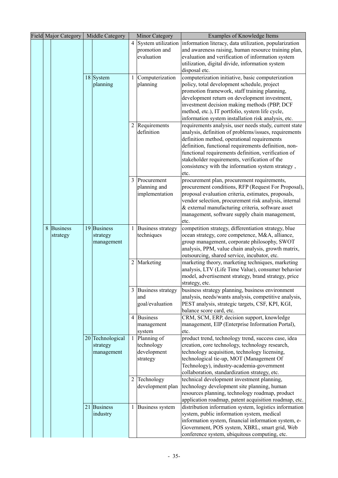|   | Field Major Category        | Middle Category                            | <b>Minor Category</b> |                                                      | <b>Examples of Knowledge Items</b>                                                                                                                                                                                                                                                                                                                                                          |  |
|---|-----------------------------|--------------------------------------------|-----------------------|------------------------------------------------------|---------------------------------------------------------------------------------------------------------------------------------------------------------------------------------------------------------------------------------------------------------------------------------------------------------------------------------------------------------------------------------------------|--|
|   |                             |                                            |                       | 4 System utilization<br>promotion and<br>evaluation  | information literacy, data utilization, popularization<br>and awareness raising, human resource training plan,<br>evaluation and verification of information system<br>utilization, digital divide, information system                                                                                                                                                                      |  |
|   |                             | 18 System                                  | 1                     | Computerization                                      | disposal etc.<br>computerization initiative, basic computerization                                                                                                                                                                                                                                                                                                                          |  |
|   |                             | planning                                   |                       | planning                                             | policy, total development schedule, project<br>promotion framework, staff training planning,<br>development return on development investment,<br>investment decision making methods (PBP, DCF<br>method, etc.), IT portfolio, system life cycle,<br>information system installation risk analysis, etc.                                                                                     |  |
|   |                             |                                            |                       | 2 Requirements<br>definition                         | requirements analysis, user needs study, current state<br>analysis, definition of problems/issues, requirements<br>definition method, operational requirements<br>definition, functional requirements definition, non-<br>functional requirements definition, verification of<br>stakeholder requirements, verification of the<br>consistency with the information system strategy,<br>etc. |  |
|   |                             |                                            |                       | 3 Procurement<br>planning and<br>implementation      | procurement plan, procurement requirements,<br>procurement conditions, RFP (Request For Proposal),<br>proposal evaluation criteria, estimates, proposals,<br>vendor selection, procurement risk analysis, internal<br>& external manufacturing criteria, software asset<br>management, software supply chain management,<br>etc.                                                            |  |
| 8 | <b>Business</b><br>strategy | 19 Business<br>strategy<br>management      | 1                     | <b>Business strategy</b><br>techniques               | competition strategy, differentiation strategy, blue<br>ocean strategy, core competence, M&A, alliance,<br>group management, corporate philosophy, SWOT<br>analysis, PPM, value chain analysis, growth matrix,<br>outsourcing, shared service, incubator, etc.                                                                                                                              |  |
|   |                             |                                            |                       | 2 Marketing                                          | marketing theory, marketing techniques, marketing<br>analysis, LTV (Life Time Value), consumer behavior<br>model, advertisement strategy, brand strategy, price<br>strategy, etc.                                                                                                                                                                                                           |  |
|   |                             |                                            |                       | 3 Business strategy<br>and<br>goal/evaluation        | business strategy planning, business environment<br>analysis, needs/wants analysis, competitive analysis,<br>PEST analysis, strategic targets, CSF, KPI, KGI,<br>balance score card, etc.                                                                                                                                                                                                   |  |
|   |                             |                                            |                       | 4 Business<br>management<br>system                   | CRM, SCM, ERP, decision support, knowledge<br>management, EIP (Enterprise Information Portal),<br>etc.                                                                                                                                                                                                                                                                                      |  |
|   |                             | 20 Technological<br>strategy<br>management |                       | Planning of<br>technology<br>development<br>strategy | product trend, technology trend, success case, idea<br>creation, core technology, technology research,<br>technology acquisition, technology licensing,<br>technological tie-up, MOT (Management Of<br>Technology), industry-academia-government<br>collaboration, standardization strategy, etc.                                                                                           |  |
|   |                             |                                            | 2                     | Technology<br>development plan                       | technical development investment planning,<br>technology development site planning, human<br>resources planning, technology roadmap, product<br>application roadmap, patent acquisition roadmap, etc.                                                                                                                                                                                       |  |
|   |                             | 21 Business<br>industry                    | 1                     | <b>Business system</b>                               | distribution information system, logistics information<br>system, public information system, medical<br>information system, financial information system, e-<br>Government, POS system, XBRL, smart grid, Web<br>conference system, ubiquitous computing, etc.                                                                                                                              |  |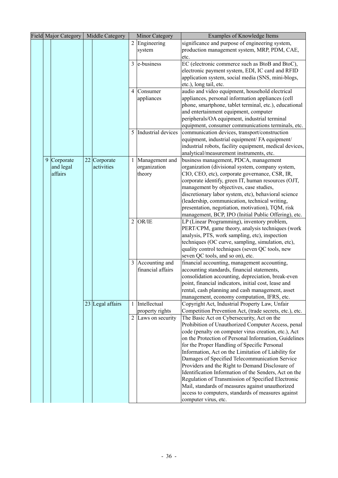| <b>Field Major Category</b> |                                                  | Middle Category            |                     | <b>Minor Category</b>                               | Examples of Knowledge Items                                                                                                                                                                                                                                                                                                                                                                                                                                                                                                                                                                         |
|-----------------------------|--------------------------------------------------|----------------------------|---------------------|-----------------------------------------------------|-----------------------------------------------------------------------------------------------------------------------------------------------------------------------------------------------------------------------------------------------------------------------------------------------------------------------------------------------------------------------------------------------------------------------------------------------------------------------------------------------------------------------------------------------------------------------------------------------------|
|                             |                                                  |                            | $\overline{2}$      | Engineering<br>system                               | significance and purpose of engineering system,<br>production management system, MRP, PDM, CAE,<br>etc.                                                                                                                                                                                                                                                                                                                                                                                                                                                                                             |
|                             |                                                  |                            | 3                   | e-business                                          | EC (electronic commerce such as BtoB and BtoC),<br>electronic payment system, EDI, IC card and RFID<br>application system, social media (SNS, mini-blogs,<br>etc.), long tail, etc.                                                                                                                                                                                                                                                                                                                                                                                                                 |
|                             |                                                  |                            |                     | 4 Consumer<br>appliances                            | audio and video equipment, household electrical<br>appliances, personal information appliances (cell<br>phone, smartphone, tablet terminal, etc.), educational<br>and entertainment equipment, computer<br>peripherals/OA equipment, industrial terminal<br>equipment, consumer communications terminals, etc.                                                                                                                                                                                                                                                                                      |
|                             |                                                  |                            | 5                   | Industrial devices                                  | communication devices, transport/construction<br>equipment, industrial equipment/ FA equipment/<br>industrial robots, facility equipment, medical devices,<br>analytical/measurement instruments, etc.                                                                                                                                                                                                                                                                                                                                                                                              |
|                             | $\overline{9}$ Corporate<br>and legal<br>affairs | 22 Corporate<br>activities |                     | Management and<br>organization<br>theory            | business management, PDCA, management<br>organization (divisional system, company system,<br>CIO, CEO, etc), corporate governance, CSR, IR,<br>corporate identify, green IT, human resources (OJT,<br>management by objectives, case studies,<br>discretionary labor system, etc), behavioral science<br>(leadership, communication, technical writing,<br>presentation, negotiation, motivation), TQM, risk<br>management, BCP, IPO (Initial Public Offering), etc.                                                                                                                                |
|                             |                                                  |                            | $\overline{2}$      | OR/IE                                               | LP (Linear Programming), inventory problem,<br>PERT/CPM, game theory, analysis techniques (work<br>analysis, PTS, work sampling, etc), inspection<br>techniques (OC curve, sampling, simulation, etc),<br>quality control techniques (seven QC tools, new<br>seven QC tools, and so on), etc.                                                                                                                                                                                                                                                                                                       |
|                             |                                                  |                            |                     | 3 Accounting and<br>financial affairs               | financial accounting, management accounting,<br>accounting standards, financial statements,<br>consolidation accounting, depreciation, break-even<br>point, financial indicators, initial cost, lease and<br>rental, cash planning and cash management, asset<br>management, economy computation, IFRS, etc.                                                                                                                                                                                                                                                                                        |
|                             |                                                  | 23 Legal affairs           | 1<br>$\overline{2}$ | Intellectual<br>property rights<br>Laws on security | Copyright Act, Industrial Property Law, Unfair<br>Competition Prevention Act, (trade secrets, etc.), etc.<br>The Basic Act on Cybersecurity, Act on the<br>Prohibition of Unauthorized Computer Access, penal<br>code (penalty on computer virus creation, etc.), Act<br>on the Protection of Personal Information, Guidelines<br>for the Proper Handling of Specific Personal<br>Information, Act on the Limitation of Liability for<br>Damages of Specified Telecommunication Service<br>Providers and the Right to Demand Disclosure of<br>Identification Information of the Senders, Act on the |
|                             |                                                  |                            |                     |                                                     | Regulation of Transmission of Specified Electronic<br>Mail, standards of measures against unauthorized<br>access to computers, standards of measures against<br>computer virus, etc.                                                                                                                                                                                                                                                                                                                                                                                                                |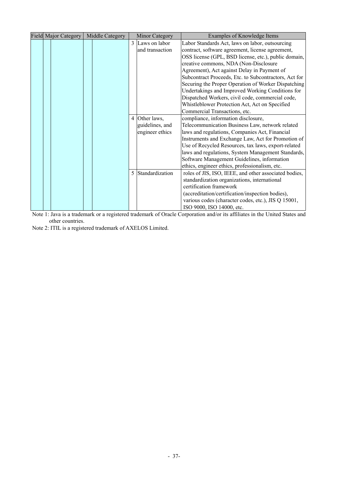|  | <b>Field Major Category</b> | Middle Category |              | <b>Minor Category</b> | Examples of Knowledge Items                           |
|--|-----------------------------|-----------------|--------------|-----------------------|-------------------------------------------------------|
|  |                             |                 | $\mathbf{3}$ | Laws on labor         | Labor Standards Act, laws on labor, outsourcing       |
|  |                             |                 |              | and transaction       | contract, software agreement, license agreement,      |
|  |                             |                 |              |                       | OSS license (GPL, BSD license, etc.), public domain,  |
|  |                             |                 |              |                       | creative commons, NDA (Non-Disclosure                 |
|  |                             |                 |              |                       | Agreement), Act against Delay in Payment of           |
|  |                             |                 |              |                       | Subcontract Proceeds, Etc. to Subcontractors, Act for |
|  |                             |                 |              |                       | Securing the Proper Operation of Worker Dispatching   |
|  |                             |                 |              |                       | Undertakings and Improved Working Conditions for      |
|  |                             |                 |              |                       | Dispatched Workers, civil code, commercial code,      |
|  |                             |                 |              |                       | Whistleblower Protection Act, Act on Specified        |
|  |                             |                 |              |                       | Commercial Transactions, etc.                         |
|  |                             |                 |              | 4 Other laws,         | compliance, information disclosure,                   |
|  |                             |                 |              | guidelines, and       | Telecommunication Business Law, network related       |
|  |                             |                 |              | engineer ethics       | laws and regulations, Companies Act, Financial        |
|  |                             |                 |              |                       | Instruments and Exchange Law, Act for Promotion of    |
|  |                             |                 |              |                       | Use of Recycled Resources, tax laws, export-related   |
|  |                             |                 |              |                       | laws and regulations, System Management Standards,    |
|  |                             |                 |              |                       | Software Management Guidelines, information           |
|  |                             |                 |              |                       | ethics, engineer ethics, professionalism, etc.        |
|  |                             |                 | 5            | Standardization       | roles of JIS, ISO, IEEE, and other associated bodies, |
|  |                             |                 |              |                       | standardization organizations, international          |
|  |                             |                 |              |                       | certification framework                               |
|  |                             |                 |              |                       | (accreditation/certification/inspection bodies),      |
|  |                             |                 |              |                       | various codes (character codes, etc.), JIS Q 15001,   |
|  |                             |                 |              |                       | ISO 9000, ISO 14000, etc.                             |

Note 1: Java is a trademark or a registered trademark of Oracle Corporation and/or its affiliates in the United States and other countries.

Note 2: ITIL is a registered trademark of AXELOS Limited.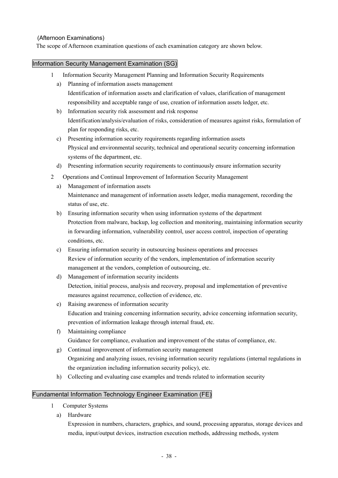### (Afternoon Examinations)

The scope of Afternoon examination questions of each examination category are shown below.

#### Information Security Management Examination (SG)

- 1 Information Security Management Planning and Information Security Requirements
	- a) Planning of information assets management Identification of information assets and clarification of values, clarification of management responsibility and acceptable range of use, creation of information assets ledger, etc.
	- b) Information security risk assessment and risk response Identification/analysis/evaluation of risks, consideration of measures against risks, formulation of plan for responding risks, etc.
	- c) Presenting information security requirements regarding information assets Physical and environmental security, technical and operational security concerning information systems of the department, etc.
	- d) Presenting information security requirements to continuously ensure information security
- 2 Operations and Continual Improvement of Information Security Management
	- a) Management of information assets Maintenance and management of information assets ledger, media management, recording the status of use, etc.
	- b) Ensuring information security when using information systems of the department Protection from malware, backup, log collection and monitoring, maintaining information security in forwarding information, vulnerability control, user access control, inspection of operating conditions, etc.
	- c) Ensuring information security in outsourcing business operations and processes Review of information security of the vendors, implementation of information security management at the vendors, completion of outsourcing, etc.
	- d) Management of information security incidents Detection, initial process, analysis and recovery, proposal and implementation of preventive measures against recurrence, collection of evidence, etc.
	- e) Raising awareness of information security Education and training concerning information security, advice concerning information security, prevention of information leakage through internal fraud, etc.
	- f) Maintaining compliance Guidance for compliance, evaluation and improvement of the status of compliance, etc.
	- g) Continual improvement of information security management Organizing and analyzing issues, revising information security regulations (internal regulations in the organization including information security policy), etc.
	- h) Collecting and evaluating case examples and trends related to information security

### Fundamental Information Technology Engineer Examination (FE)

- 1 Computer Systems
	- a) Hardware

Expression in numbers, characters, graphics, and sound, processing apparatus, storage devices and media, input/output devices, instruction execution methods, addressing methods, system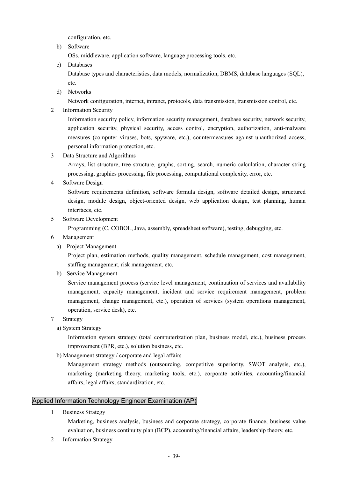configuration, etc.

b) Software

OSs, middleware, application software, language processing tools, etc.

c) Databases

Database types and characteristics, data models, normalization, DBMS, database languages (SQL), etc.

d) Networks

Network configuration, internet, intranet, protocols, data transmission, transmission control, etc.

2 Information Security

Information security policy, information security management, database security, network security, application security, physical security, access control, encryption, authorization, anti-malware measures (computer viruses, bots, spyware, etc.), countermeasures against unauthorized access, personal information protection, etc.

3 Data Structure and Algorithms

Arrays, list structure, tree structure, graphs, sorting, search, numeric calculation, character string processing, graphics processing, file processing, computational complexity, error, etc.

4 Software Design

Software requirements definition, software formula design, software detailed design, structured design, module design, object-oriented design, web application design, test planning, human interfaces, etc.

5 Software Development

Programming (C, COBOL, Java, assembly, spreadsheet software), testing, debugging, etc.

- 6 Management
	- a) Project Management

Project plan, estimation methods, quality management, schedule management, cost management, staffing management, risk management, etc.

b) Service Management

Service management process (service level management, continuation of services and availability management, capacity management, incident and service requirement management, problem management, change management, etc.), operation of services (system operations management, operation, service desk), etc.

- 7 Strategy
	- a) System Strategy

Information system strategy (total computerization plan, business model, etc.), business process improvement (BPR, etc.), solution business, etc.

b) Management strategy / corporate and legal affairs

Management strategy methods (outsourcing, competitive superiority, SWOT analysis, etc.), marketing (marketing theory, marketing tools, etc.), corporate activities, accounting/financial affairs, legal affairs, standardization, etc.

### Applied Information Technology Engineer Examination (AP)

1 Business Strategy

Marketing, business analysis, business and corporate strategy, corporate finance, business value evaluation, business continuity plan (BCP), accounting/financial affairs, leadership theory, etc.

2 Information Strategy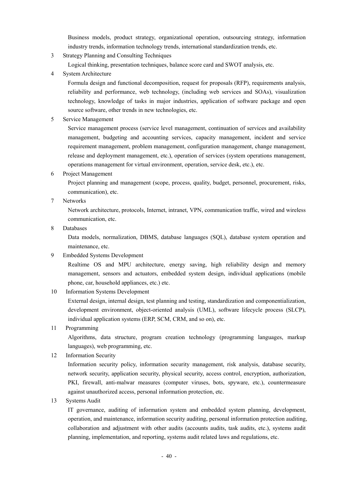Business models, product strategy, organizational operation, outsourcing strategy, information industry trends, information technology trends, international standardization trends, etc.

3 Strategy Planning and Consulting Techniques

Logical thinking, presentation techniques, balance score card and SWOT analysis, etc.

4 System Architecture

Formula design and functional decomposition, request for proposals (RFP), requirements analysis, reliability and performance, web technology, (including web services and SOAs), visualization technology, knowledge of tasks in major industries, application of software package and open source software, other trends in new technologies, etc.

5 Service Management

Service management process (service level management, continuation of services and availability management, budgeting and accounting services, capacity management, incident and service requirement management, problem management, configuration management, change management, release and deployment management, etc.), operation of services (system operations management, operations management for virtual environment, operation, service desk, etc.), etc.

6 Project Management

Project planning and management (scope, process, quality, budget, personnel, procurement, risks, communication), etc.

7 Networks

Network architecture, protocols, Internet, intranet, VPN, communication traffic, wired and wireless communication, etc.

8 Databases

Data models, normalization, DBMS, database languages (SQL), database system operation and maintenance, etc.

9 Embedded Systems Development

Realtime OS and MPU architecture, energy saving, high reliability design and memory management, sensors and actuators, embedded system design, individual applications (mobile phone, car, household appliances, etc.) etc.

10 Information Systems Development

External design, internal design, test planning and testing, standardization and componentialization, development environment, object-oriented analysis (UML), software lifecycle process (SLCP), individual application systems (ERP, SCM, CRM, and so on), etc.

11 Programming

Algorithms, data structure, program creation technology (programming languages, markup languages), web programming, etc.

12 Information Security

Information security policy, information security management, risk analysis, database security, network security, application security, physical security, access control, encryption, authorization, PKI, firewall, anti-malwar measures (computer viruses, bots, spyware, etc.), countermeasure against unauthorized access, personal information protection, etc.

13 Systems Audit

IT governance, auditing of information system and embedded system planning, development, operation, and maintenance, information security auditing, personal information protection auditing, collaboration and adjustment with other audits (accounts audits, task audits, etc.), systems audit planning, implementation, and reporting, systems audit related laws and regulations, etc.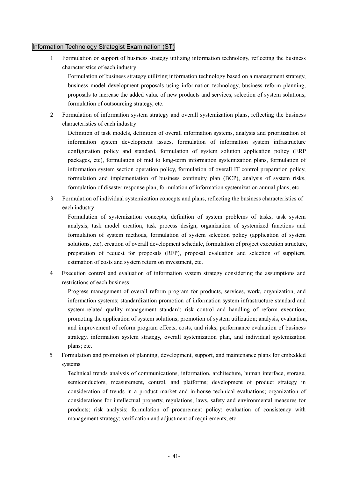#### Information Technology Strategist Examination (ST)

1 Formulation or support of business strategy utilizing information technology, reflecting the business characteristics of each industry

Formulation of business strategy utilizing information technology based on a management strategy, business model development proposals using information technology, business reform planning, proposals to increase the added value of new products and services, selection of system solutions, formulation of outsourcing strategy, etc.

2 Formulation of information system strategy and overall systemization plans, reflecting the business characteristics of each industry

Definition of task models, definition of overall information systems, analysis and prioritization of information system development issues, formulation of information system infrastructure configuration policy and standard, formulation of system solution application policy (ERP packages, etc), formulation of mid to long-term information systemization plans, formulation of information system section operation policy, formulation of overall IT control preparation policy, formulation and implementation of business continuity plan (BCP), analysis of system risks, formulation of disaster response plan, formulation of information systemization annual plans, etc.

3 Formulation of individual systemization concepts and plans, reflecting the business characteristics of each industry

Formulation of systemization concepts, definition of system problems of tasks, task system analysis, task model creation, task process design, organization of systemized functions and formulation of system methods, formulation of system selection policy (application of system solutions, etc), creation of overall development schedule, formulation of project execution structure, preparation of request for proposals (RFP), proposal evaluation and selection of suppliers, estimation of costs and system return on investment, etc.

4 Execution control and evaluation of information system strategy considering the assumptions and restrictions of each business

Progress management of overall reform program for products, services, work, organization, and information systems; standardization promotion of information system infrastructure standard and system-related quality management standard; risk control and handling of reform execution; promoting the application of system solutions; promotion of system utilization; analysis, evaluation, and improvement of reform program effects, costs, and risks; performance evaluation of business strategy, information system strategy, overall systemization plan, and individual systemization plans; etc.

5 Formulation and promotion of planning, development, support, and maintenance plans for embedded systems

Technical trends analysis of communications, information, architecture, human interface, storage, semiconductors, measurement, control, and platforms; development of product strategy in consideration of trends in a product market and in-house technical evaluations; organization of considerations for intellectual property, regulations, laws, safety and environmental measures for products; risk analysis; formulation of procurement policy; evaluation of consistency with management strategy; verification and adjustment of requirements; etc.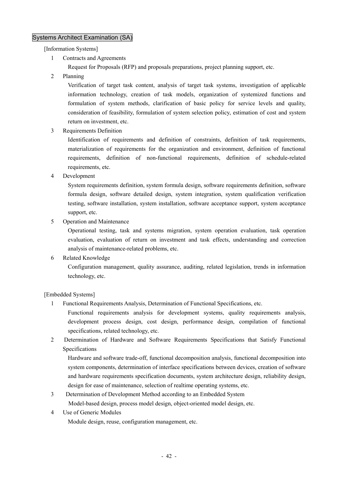### Systems Architect Examination (SA)

[Information Systems]

- 1 Contracts and Agreements
	- Request for Proposals (RFP) and proposals preparations, project planning support, etc.
- 2 Planning

Verification of target task content, analysis of target task systems, investigation of applicable information technology, creation of task models, organization of systemized functions and formulation of system methods, clarification of basic policy for service levels and quality, consideration of feasibility, formulation of system selection policy, estimation of cost and system return on investment, etc.

3 Requirements Definition

Identification of requirements and definition of constraints, definition of task requirements, materialization of requirements for the organization and environment, definition of functional requirements, definition of non-functional requirements, definition of schedule-related requirements, etc.

4 Development

System requirements definition, system formula design, software requirements definition, software formula design, software detailed design, system integration, system qualification verification testing, software installation, system installation, software acceptance support, system acceptance support, etc.

5 Operation and Maintenance

Operational testing, task and systems migration, system operation evaluation, task operation evaluation, evaluation of return on investment and task effects, understanding and correction analysis of maintenance-related problems, etc.

6 Related Knowledge

Configuration management, quality assurance, auditing, related legislation, trends in information technology, etc.

#### [Embedded Systems]

1 Functional Requirements Analysis, Determination of Functional Specifications, etc.

Functional requirements analysis for development systems, quality requirements analysis, development process design, cost design, performance design, compilation of functional specifications, related technology, etc.

2 Determination of Hardware and Software Requirements Specifications that Satisfy Functional Specifications

Hardware and software trade-off, functional decomposition analysis, functional decomposition into system components, determination of interface specifications between devices, creation of software and hardware requirements specification documents, system architecture design, reliability design, design for ease of maintenance, selection of realtime operating systems, etc.

- 3 Determination of Development Method according to an Embedded System Model-based design, process model design, object-oriented model design, etc.
- 4 Use of Generic Modules

Module design, reuse, configuration management, etc.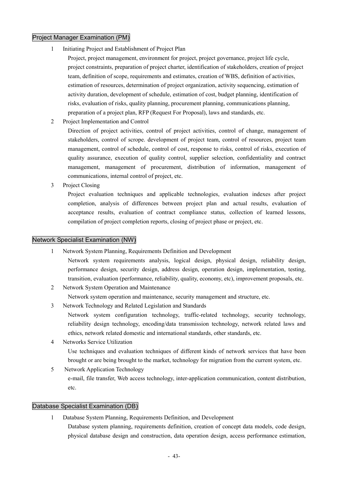### Project Manager Examination (PM)

- 1 Initiating Project and Establishment of Project Plan
	- Project, project management, environment for project, project governance, project life cycle, project constraints, preparation of project charter, identification of stakeholders, creation of project team, definition of scope, requirements and estimates, creation of WBS, definition of activities, estimation of resources, determination of project organization, activity sequencing, estimation of activity duration, development of schedule, estimation of cost, budget planning, identification of risks, evaluation of risks, quality planning, procurement planning, communications planning, preparation of a project plan, RFP (Request For Proposal), laws and standards, etc.
- 2 Project Implementation and Control

Direction of project activities, control of project activities, control of change, management of stakeholders, control of scrope. development of project team, control of resources, project team management, control of schedule, control of cost, response to risks, control of risks, execution of quality assurance, execution of quality control, supplier selection, confidentiality and contract management, management of procurement, distribution of information, management of communications, internal control of project, etc.

3 Project Closing

Project evaluation techniques and applicable technologies, evaluation indexes after project completion, analysis of differences between project plan and actual results, evaluation of acceptance results, evaluation of contract compliance status, collection of learned lessons, compilation of project completion reports, closing of project phase or project, etc.

### Network Specialist Examination (NW)

- 1 Network System Planning, Requirements Definition and Development
	- Network system requirements analysis, logical design, physical design, reliability design, performance design, security design, address design, operation design, implementation, testing, transition, evaluation (performance, reliability, quality, economy, etc), improvement proposals, etc.
- 2 Network System Operation and Maintenance

Network system operation and maintenance, security management and structure, etc.

3 Network Technology and Related Legislation and Standards

Network system configuration technology, traffic-related technology, security technology, reliability design technology, encoding/data transmission technology, network related laws and ethics, network related domestic and international standards, other standards, etc.

- 4 Networks Service Utilization Use techniques and evaluation techniques of different kinds of network services that have been brought or are being brought to the market, technology for migration from the current system, etc.
- 5 Network Application Technology e-mail, file transfer, Web access technology, inter-application communication, content distribution, etc.

### Database Specialist Examination (DB)

1 Database System Planning, Requirements Definition, and Development Database system planning, requirements definition, creation of concept data models, code design, physical database design and construction, data operation design, access performance estimation,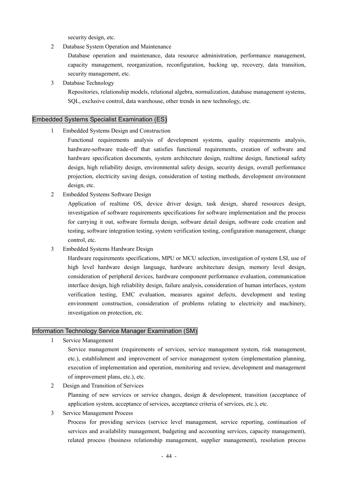security design, etc.

2 Database System Operation and Maintenance

Database operation and maintenance, data resource administration, performance management, capacity management, reorganization, reconfiguration, backing up, recovery, data transition, security management, etc.

3 Database Technology

Repositories, relationship models, relational algebra, normalization, database management systems, SQL, exclusive control, data warehouse, other trends in new technology, etc.

#### Embedded Systems Specialist Examination (ES)

1 Embedded Systems Design and Construction

Functional requirements analysis of development systems, quality requirements analysis, hardware-software trade-off that satisfies functional requirements, creation of software and hardware specification documents, system architecture design, realtime design, functional safety design, high reliability design, environmental safety design, security design, overall performance projection, electricity saving design, consideration of testing methods, development environment design, etc.

2 Embedded Systems Software Design

Application of realtime OS, device driver design, task design, shared resources design, investigation of software requirements specifications for software implementation and the process for carrying it out, software formula design, software detail design, software code creation and testing, software integration testing, system verification testing, configuration management, change control, etc.

3 Embedded Systems Hardware Design

Hardware requirements specifications, MPU or MCU selection, investigation of system LSI, use of high level hardware design language, hardware architecture design, memory level design, consideration of peripheral devices, hardware component performance evaluation, communication interface design, high reliability design, failure analysis, consideration of human interfaces, system verification testing, EMC evaluation, measures against defects, development and testing environment construction, consideration of problems relating to electricity and machinery, investigation on protection, etc.

#### Information Technology Service Manager Examination (SM)

1 Service Management

Service management (requirements of services, service management system, risk management, etc.), establishment and improvement of service management system (implementation planning, execution of implementation and operation, monitoring and review, development and management of improvement plans, etc.), etc.

2 Design and Transition of Services

Planning of new services or service changes, design & development, transition (acceptance of application system, acceptance of services, acceptance criteria of services, etc.), etc.

3 Service Management Process

Process for providing services (service level management, service reporting, continuation of services and availability management, budgeting and accounting services, capacity management), related process (business relationship management, supplier management), resolution process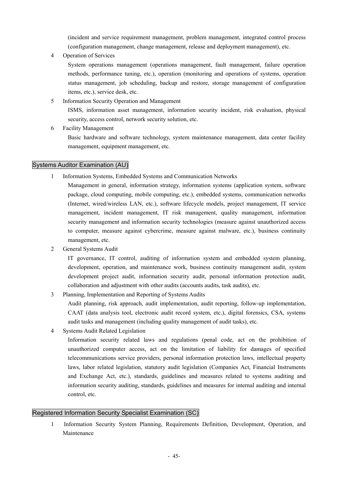(incident and service requirement management, problem management, integrated control process (configuration management, change management, release and deployment management), etc.

4 Operation of Services

System operations management (operations management, fault management, failure operation methods, performance tuning, etc.), operation (monitoring and operations of systems, operation status management, job scheduling, backup and restore, storage management of configuration items, etc.), service desk, etc.

- 5 Information Security Operation and Management ISMS, information asset management, information security incident, risk evaluation, physical security, access control, network security solution, etc.
- 6 Facility Management

Basic hardware and software technology, system maintenance management, data center facility management, equipment management, etc.

#### Systems Auditor Examination (AU)

1 Information Systems, Embedded Systems and Communication Networks

Management in general, information strategy, information systems (application system, software package, cloud computing, mobile computing, etc.), embedded systems, communication networks (Internet, wired/wireless LAN, etc.), software lifecycle models, project management, IT service management, incident management, IT risk management, quality management, information security management and information security technologies (measure against unauthorized access to computer, measure against cybercrime, measure against malware, etc.), business continuity management, etc.

2 General Systems Audit

IT governance, IT control, auditing of information system and embedded system planning, development, operation, and maintenance work, business continuity management audit, system development project audit, information security audit, personal information protection audit, collaboration and adjustment with other audits (accounts audits, task audits), etc.

3 Planning, Implementation and Reporting of Systems Audits

Audit planning, risk approach, audit implementation, audit reporting, follow-up implementation, CAAT (data analysis tool, electronic audit record system, etc.), digital forensics, CSA, systems audit tasks and management (including quality management of audit tasks), etc.

4 Systems Audit Related Legislation

Information security related laws and regulations (penal code, act on the prohibition of unauthorized computer access, act on the limitation of liability for damages of specified telecommunications service providers, personal information protection laws, intellectual property laws, labor related legislation, statutory audit legislation (Companies Act, Financial Instruments and Exchange Act, etc.), standards, guidelines and measures related to systems auditing and information security auditing, standards, guidelines and measures for internal auditing and internal control, etc.

### Registered Information Security Specialist Examination (SC)

1 Information Security System Planning, Requirements Definition, Development, Operation, and Maintenance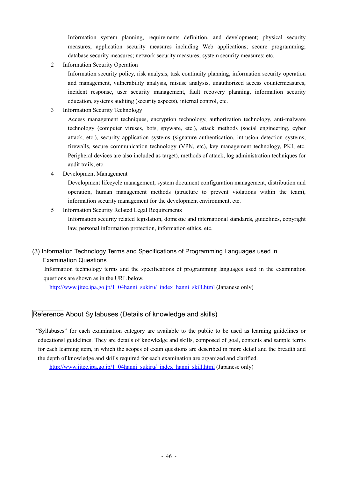Information system planning, requirements definition, and development; physical security measures; application security measures including Web applications; secure programming; database security measures; network security measures; system security measures; etc.

2 Information Security Operation

Information security policy, risk analysis, task continuity planning, information security operation and management, vulnerability analysis, misuse analysis, unauthorized access countermeasures, incident response, user security management, fault recovery planning, information security education, systems auditing (security aspects), internal control, etc.

3 Information Security Technology

Access management techniques, encryption technology, authorization technology, anti-malware technology (computer viruses, bots, spyware, etc.), attack methods (social engineering, cyber attack, etc.), security application systems (signature authentication, intrusion detection systems, firewalls, secure communication technology (VPN, etc), key management technology, PKI, etc. Peripheral devices are also included as target), methods of attack, log administration techniques for audit trails, etc.

4 Development Management

Development lifecycle management, system document configuration management, distribution and operation, human management methods (structure to prevent violations within the team), information security management for the development environment, etc.

5 Information Security Related Legal Requirements Information security related legislation, domestic and international standards, guidelines, copyright law, personal information protection, information ethics, etc.

### (3) Information Technology Terms and Specifications of Programming Languages used in Examination Questions

Information technology terms and the specifications of programming languages used in the examination questions are shown as in the URL below.

http://www.jitec.ipa.go.jp/1\_04hanni\_sukiru/\_index\_hanni\_skill.html (Japanese only)

### Reference About Syllabuses (Details of knowledge and skills)

"Syllabuses" for each examination category are available to the public to be used as learning guidelines or educationsl guidelines. They are details of knowledge and skills, composed of goal, contents and sample terms for each learning item, in which the scopes of exam questions are described in more detail and the breadth and the depth of knowledge and skills required for each examination are organized and clarified.

http://www.jitec.ipa.go.jp/1\_04hanni\_sukiru/\_index\_hanni\_skill.html (Japanese only)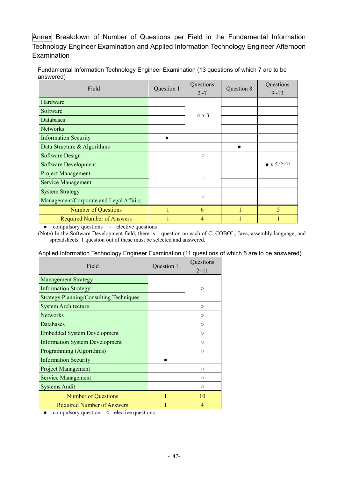Annex Breakdown of Number of Questions per Field in the Fundamental Information Technology Engineer Examination and Applied Information Technology Engineer Afternoon Examination

| Field                                  | Question 1 | Questions<br>$2 - 7$ | Question 8 | Questions<br>$9 - 13$ |
|----------------------------------------|------------|----------------------|------------|-----------------------|
| Hardware                               |            |                      |            |                       |
| Software                               |            | $\circ x3$           |            |                       |
| Databases                              |            |                      |            |                       |
| <b>Networks</b>                        |            |                      |            |                       |
| <b>Information Security</b>            |            |                      |            |                       |
| Data Structure & Algorithms            |            |                      | ●          |                       |
| Software Design                        |            | $\circ$              |            |                       |
| <b>Software Development</b>            |            |                      |            | $\bullet$ x 5 (Note)  |
| <b>Project Management</b>              |            | $\circ$              |            |                       |
| <b>Service Management</b>              |            |                      |            |                       |
| <b>System Strategy</b>                 |            | $\circ$              |            |                       |
| Management/Corporate and Legal Affairs |            |                      |            |                       |
| <b>Number of Questions</b>             |            | 6                    |            | 5                     |
| <b>Required Number of Answers</b>      |            | 4                    |            |                       |

Fundamental Information Technology Engineer Examination (13 questions of which 7 are to be answered)

 $\bullet$  = compulsory questions  $\circ$  = elective questions

(Note) In the Software Development field, there is 1 question on each of C, COBOL, Java, assembly language, and spreadsheets. 1 question out of these must be selected and answered.

#### Applied Information Technology Engineer Examination (11 questions of which 5 are to be answered)

| Field                                          | Question 1 | Questions<br>$2 - 11$ |
|------------------------------------------------|------------|-----------------------|
| <b>Management Strategy</b>                     |            |                       |
| <b>Information Strategy</b>                    |            | $\circ$               |
| <b>Strategy Planning/Consulting Techniques</b> |            |                       |
| <b>System Architecture</b>                     |            | $\circ$               |
| <b>Networks</b>                                |            | $\bigcirc$            |
| Databases                                      |            | $\bigcirc$            |
| <b>Embedded System Development</b>             |            | $\bigcirc$            |
| <b>Information System Development</b>          |            | $\bigcirc$            |
| Programming (Algorithms)                       |            | $\circ$               |
| <b>Information Security</b>                    |            |                       |
| <b>Project Management</b>                      |            | $\bigcirc$            |
| <b>Service Management</b>                      |            | $\bigcirc$            |
| <b>Systems Audit</b>                           |            | $\circ$               |
| <b>Number of Questions</b>                     |            | 10                    |
| <b>Required Number of Answers</b>              |            |                       |

 $\bullet =$  compulsory question  $\circ =$  elective questions